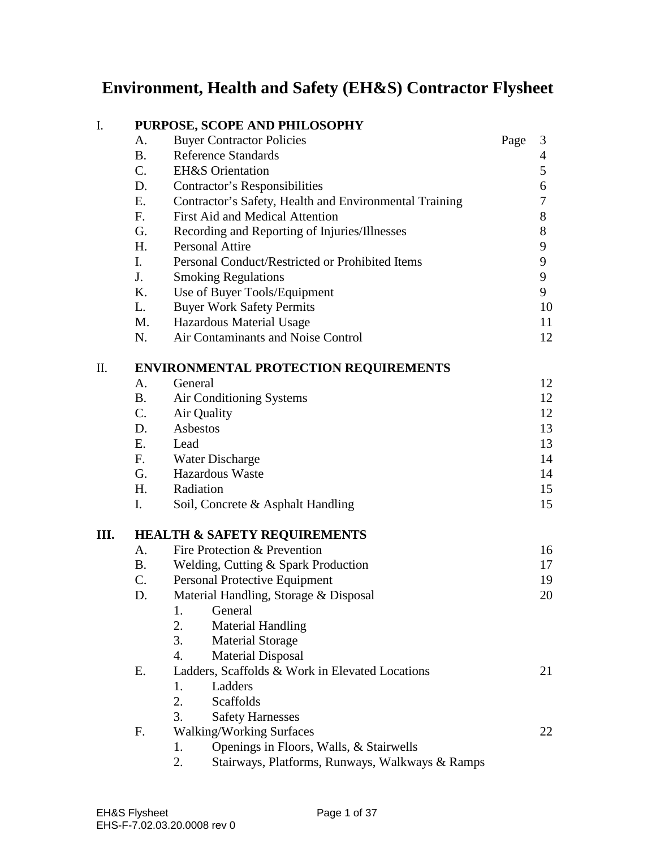# **Environment, Health and Safety (EH&S) Contractor Flysheet**

| I.   | PURPOSE, SCOPE AND PHILOSOPHY                |                                                        |      |       |  |  |
|------|----------------------------------------------|--------------------------------------------------------|------|-------|--|--|
|      | A.                                           | <b>Buyer Contractor Policies</b>                       | Page | 3     |  |  |
|      | <b>B.</b>                                    | <b>Reference Standards</b>                             |      | 4     |  |  |
|      | $C_{\cdot}$                                  | <b>EH&amp;S</b> Orientation                            |      | 5     |  |  |
|      | D.                                           | <b>Contractor's Responsibilities</b>                   |      | 6     |  |  |
|      | E.                                           | Contractor's Safety, Health and Environmental Training |      | 7     |  |  |
|      | F.                                           | <b>First Aid and Medical Attention</b>                 |      | 8     |  |  |
|      | G.                                           | Recording and Reporting of Injuries/Illnesses          |      | $8\,$ |  |  |
|      | H.                                           | <b>Personal Attire</b>                                 |      | 9     |  |  |
|      | I.                                           | Personal Conduct/Restricted or Prohibited Items        |      | 9     |  |  |
|      | J.                                           | <b>Smoking Regulations</b>                             |      | 9     |  |  |
|      | K.                                           | Use of Buyer Tools/Equipment                           |      | 9     |  |  |
|      | L.                                           | <b>Buyer Work Safety Permits</b>                       |      | 10    |  |  |
|      | M.                                           | Hazardous Material Usage                               |      | 11    |  |  |
|      | N.                                           | Air Contaminants and Noise Control                     |      | 12    |  |  |
| Π.   | <b>ENVIRONMENTAL PROTECTION REQUIREMENTS</b> |                                                        |      |       |  |  |
|      | A.                                           | General                                                |      | 12    |  |  |
|      | <b>B.</b>                                    | Air Conditioning Systems                               |      | 12    |  |  |
|      | $C_{\cdot}$                                  | Air Quality                                            |      | 12    |  |  |
|      | D.                                           | Asbestos                                               |      | 13    |  |  |
|      | Ε.                                           | Lead                                                   |      | 13    |  |  |
|      | F <sub>r</sub>                               | Water Discharge                                        |      | 14    |  |  |
|      | G.                                           | <b>Hazardous Waste</b>                                 |      | 14    |  |  |
|      | H.                                           | Radiation                                              |      | 15    |  |  |
|      | $\mathbf{I}$ .                               | Soil, Concrete & Asphalt Handling                      |      | 15    |  |  |
| III. | <b>HEALTH &amp; SAFETY REQUIREMENTS</b>      |                                                        |      |       |  |  |
|      | A.                                           | Fire Protection & Prevention                           |      | 16    |  |  |
|      | <b>B.</b>                                    | Welding, Cutting & Spark Production                    |      | 17    |  |  |
|      | C.                                           | Personal Protective Equipment                          |      | 19    |  |  |
|      | D.                                           | Material Handling, Storage & Disposal                  |      | 20    |  |  |
|      |                                              | General<br>1.                                          |      |       |  |  |
|      |                                              | 2.<br><b>Material Handling</b>                         |      |       |  |  |
|      |                                              | 3.<br><b>Material Storage</b>                          |      |       |  |  |
|      |                                              | <b>Material Disposal</b><br>$\overline{4}$ .           |      |       |  |  |
|      | Е.                                           | Ladders, Scaffolds & Work in Elevated Locations        |      | 21    |  |  |
|      |                                              | Ladders<br>1.                                          |      |       |  |  |
|      |                                              | 2.<br><b>Scaffolds</b>                                 |      |       |  |  |
|      |                                              | 3.<br><b>Safety Harnesses</b>                          |      |       |  |  |
|      | F.                                           | <b>Walking/Working Surfaces</b>                        |      | 22    |  |  |
|      |                                              | Openings in Floors, Walls, & Stairwells<br>1.          |      |       |  |  |
|      |                                              | Stairways, Platforms, Runways, Walkways & Ramps<br>2.  |      |       |  |  |
|      |                                              |                                                        |      |       |  |  |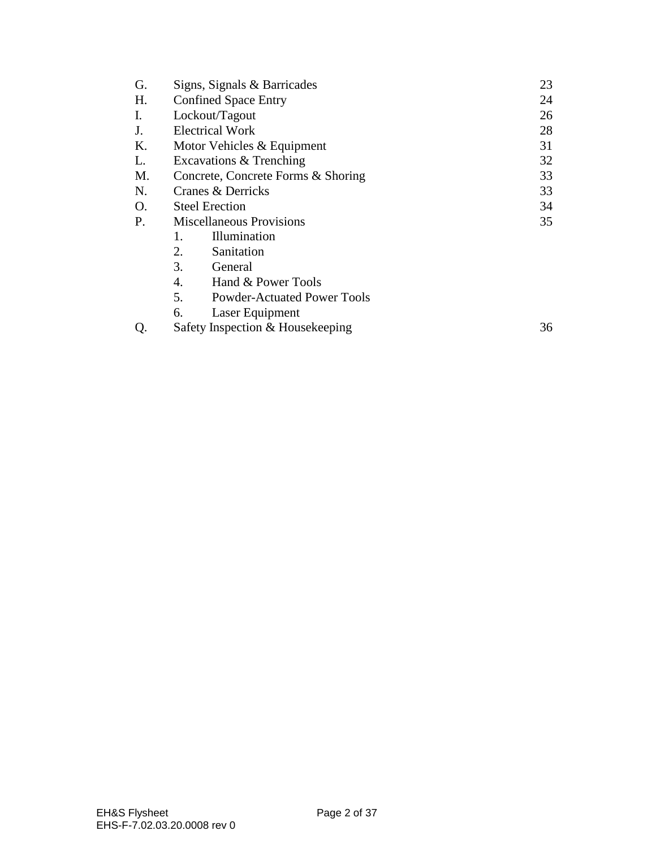| G. | Signs, Signals & Barricades              | 23 |  |
|----|------------------------------------------|----|--|
| H. | <b>Confined Space Entry</b>              | 24 |  |
| Ι. | Lockout/Tagout                           | 26 |  |
| J. | <b>Electrical Work</b>                   | 28 |  |
| Κ. | Motor Vehicles & Equipment               | 31 |  |
| L. | Excavations & Trenching                  | 32 |  |
| M. | Concrete, Concrete Forms & Shoring       | 33 |  |
| N. | Cranes & Derricks                        | 33 |  |
| O. | <b>Steel Erection</b>                    | 34 |  |
| P. | <b>Miscellaneous Provisions</b>          |    |  |
|    | <b>Illumination</b><br>1.                |    |  |
|    | 2.<br>Sanitation                         |    |  |
|    | 3.<br>General                            |    |  |
|    | Hand & Power Tools<br>4.                 |    |  |
|    | 5.<br><b>Powder-Actuated Power Tools</b> |    |  |
|    | 6.<br>Laser Equipment                    |    |  |
| Q. | Safety Inspection & Housekeeping         |    |  |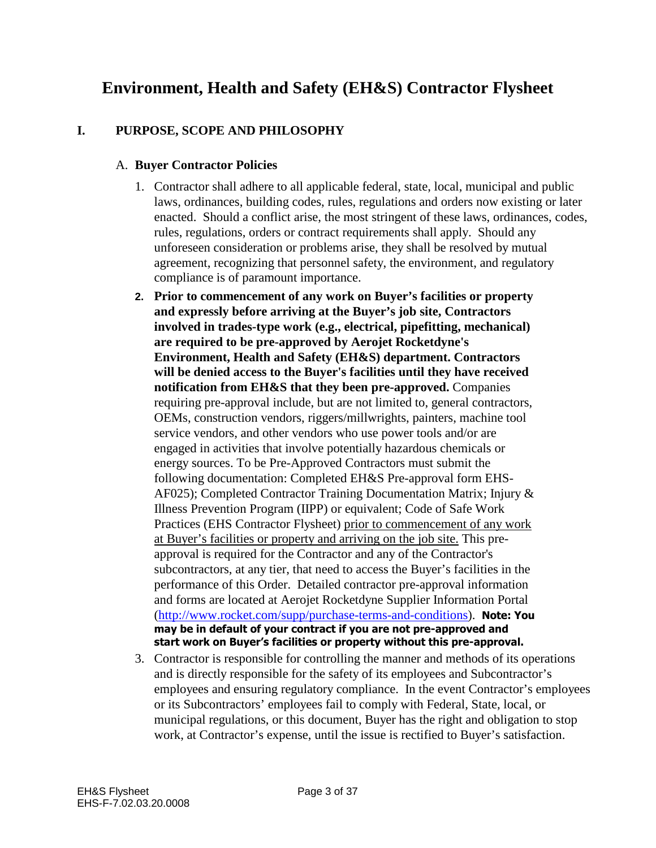# **Environment, Health and Safety (EH&S) Contractor Flysheet**

# **I. PURPOSE, SCOPE AND PHILOSOPHY**

#### A. **Buyer Contractor Policies**

- 1. Contractor shall adhere to all applicable federal, state, local, municipal and public laws, ordinances, building codes, rules, regulations and orders now existing or later enacted. Should a conflict arise, the most stringent of these laws, ordinances, codes, rules, regulations, orders or contract requirements shall apply. Should any unforeseen consideration or problems arise, they shall be resolved by mutual agreement, recognizing that personnel safety, the environment, and regulatory compliance is of paramount importance.
- **2. Prior to commencement of any work on Buyer's facilities or property and expressly before arriving at the Buyer's job site, Contractors involved in trades-type work (e.g., electrical, pipefitting, mechanical) are required to be pre-approved by Aerojet Rocketdyne's Environment, Health and Safety (EH&S) department. Contractors will be denied access to the Buyer's facilities until they have received notification from EH&S that they been pre-approved.** Companies requiring pre-approval include, but are not limited to, general contractors, OEMs, construction vendors, riggers/millwrights, painters, machine tool service vendors, and other vendors who use power tools and/or are engaged in activities that involve potentially hazardous chemicals or energy sources. To be Pre-Approved Contractors must submit the following documentation: Completed EH&S Pre-approval form EHS-AF025); Completed Contractor Training Documentation Matrix; Injury & Illness Prevention Program (IIPP) or equivalent; Code of Safe Work Practices (EHS Contractor Flysheet) prior to commencement of any work at Buyer's facilities or property and arriving on the job site. This preapproval is required for the Contractor and any of the Contractor's subcontractors, at any tier, that need to access the Buyer's facilities in the performance of this Order. Detailed contractor pre-approval information and forms are located at Aerojet Rocketdyne Supplier Information Portal ([http://www.rocket.com/supp/purchase-terms-and-condition](http://www.rocket.com/supp/purchase-terms-and-conditions)s). **Note: You may be in default of your contract if you are not pre-approved and start work on Buyer's facilities or property without this pre-approval.**
- 3. Contractor is responsible for controlling the manner and methods of its operations and is directly responsible for the safety of its employees and Subcontractor's employees and ensuring regulatory compliance. In the event Contractor's employees or its Subcontractors' employees fail to comply with Federal, State, local, or municipal regulations, or this document, Buyer has the right and obligation to stop work, at Contractor's expense, until the issue is rectified to Buyer's satisfaction.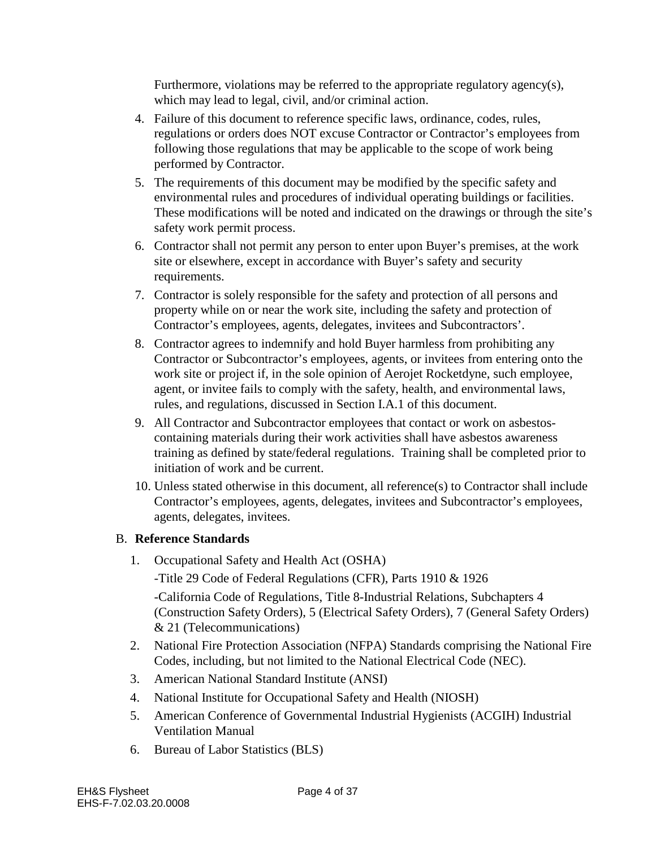Furthermore, violations may be referred to the appropriate regulatory agency(s), which may lead to legal, civil, and/or criminal action.

- 4. Failure of this document to reference specific laws, ordinance, codes, rules, regulations or orders does NOT excuse Contractor or Contractor's employees from following those regulations that may be applicable to the scope of work being performed by Contractor.
- 5. The requirements of this document may be modified by the specific safety and environmental rules and procedures of individual operating buildings or facilities. These modifications will be noted and indicated on the drawings or through the site's safety work permit process.
- 6. Contractor shall not permit any person to enter upon Buyer's premises, at the work site or elsewhere, except in accordance with Buyer's safety and security requirements.
- 7. Contractor is solely responsible for the safety and protection of all persons and property while on or near the work site, including the safety and protection of Contractor's employees, agents, delegates, invitees and Subcontractors'.
- 8. Contractor agrees to indemnify and hold Buyer harmless from prohibiting any Contractor or Subcontractor's employees, agents, or invitees from entering onto the work site or project if, in the sole opinion of Aerojet Rocketdyne, such employee, agent, or invitee fails to comply with the safety, health, and environmental laws, rules, and regulations, discussed in Section I.A.1 of this document.
- 9. All Contractor and Subcontractor employees that contact or work on asbestoscontaining materials during their work activities shall have asbestos awareness training as defined by state/federal regulations. Training shall be completed prior to initiation of work and be current.
- 10. Unless stated otherwise in this document, all reference(s) to Contractor shall include Contractor's employees, agents, delegates, invitees and Subcontractor's employees, agents, delegates, invitees.

# B. **Reference Standards**

1. Occupational Safety and Health Act (OSHA)

-Title 29 Code of Federal Regulations (CFR), Parts 1910 & 1926

-California Code of Regulations, Title 8-Industrial Relations, Subchapters 4 (Construction Safety Orders), 5 (Electrical Safety Orders), 7 (General Safety Orders) & 21 (Telecommunications)

- 2. National Fire Protection Association (NFPA) Standards comprising the National Fire Codes, including, but not limited to the National Electrical Code (NEC).
- 3. American National Standard Institute (ANSI)
- 4. National Institute for Occupational Safety and Health (NIOSH)
- 5. American Conference of Governmental Industrial Hygienists (ACGIH) Industrial Ventilation Manual
- 6. Bureau of Labor Statistics (BLS)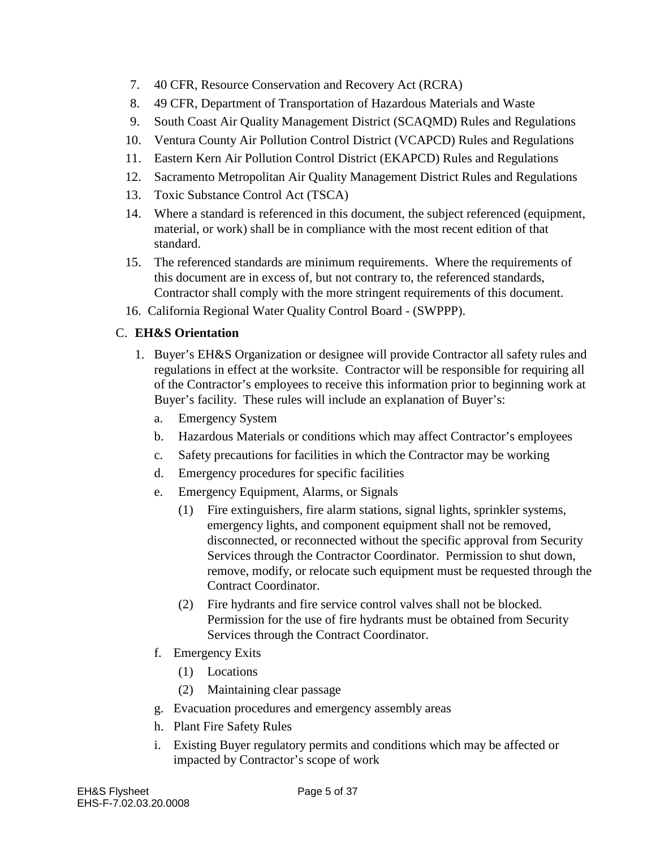- 7. 40 CFR, Resource Conservation and Recovery Act (RCRA)
- 8. 49 CFR, Department of Transportation of Hazardous Materials and Waste
- 9. South Coast Air Quality Management District (SCAQMD) Rules and Regulations
- 10. Ventura County Air Pollution Control District (VCAPCD) Rules and Regulations
- 11. Eastern Kern Air Pollution Control District (EKAPCD) Rules and Regulations
- 12. Sacramento Metropolitan Air Quality Management District Rules and Regulations
- 13. Toxic Substance Control Act (TSCA)
- 14. Where a standard is referenced in this document, the subject referenced (equipment, material, or work) shall be in compliance with the most recent edition of that standard.
- 15. The referenced standards are minimum requirements. Where the requirements of this document are in excess of, but not contrary to, the referenced standards, Contractor shall comply with the more stringent requirements of this document.
- 16. California Regional Water Quality Control Board (SWPPP).

# C. **EH&S Orientation**

- 1. Buyer's EH&S Organization or designee will provide Contractor all safety rules and regulations in effect at the worksite. Contractor will be responsible for requiring all of the Contractor's employees to receive this information prior to beginning work at Buyer's facility. These rules will include an explanation of Buyer's:
	- a. Emergency System
	- b. Hazardous Materials or conditions which may affect Contractor's employees
	- c. Safety precautions for facilities in which the Contractor may be working
	- d. Emergency procedures for specific facilities
	- e. Emergency Equipment, Alarms, or Signals
		- (1) Fire extinguishers, fire alarm stations, signal lights, sprinkler systems, emergency lights, and component equipment shall not be removed, disconnected, or reconnected without the specific approval from Security Services through the Contractor Coordinator. Permission to shut down, remove, modify, or relocate such equipment must be requested through the Contract Coordinator.
		- (2) Fire hydrants and fire service control valves shall not be blocked. Permission for the use of fire hydrants must be obtained from Security Services through the Contract Coordinator.
	- f. Emergency Exits
		- (1) Locations
		- (2) Maintaining clear passage
	- g. Evacuation procedures and emergency assembly areas
	- h. Plant Fire Safety Rules
	- i. Existing Buyer regulatory permits and conditions which may be affected or impacted by Contractor's scope of work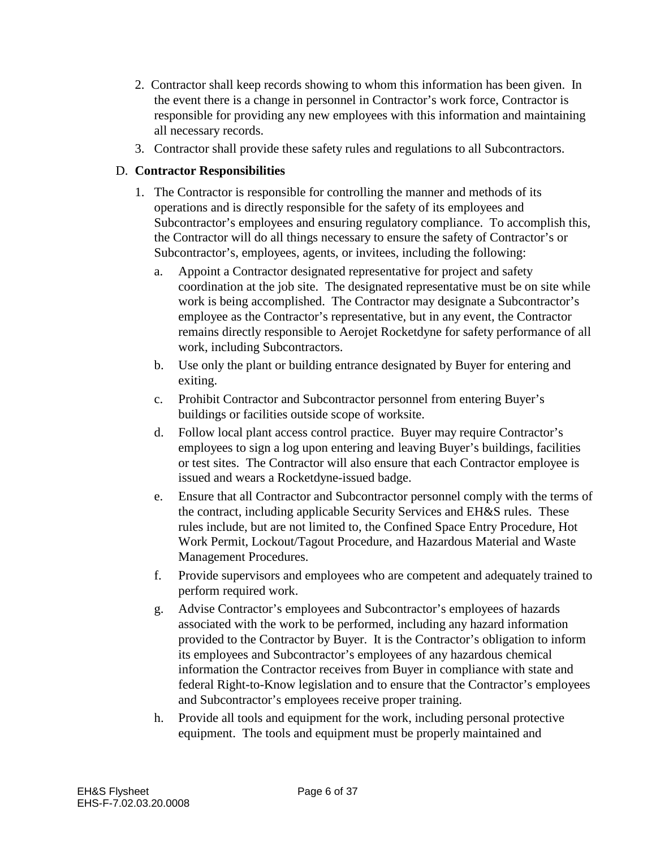- 2. Contractor shall keep records showing to whom this information has been given. In the event there is a change in personnel in Contractor's work force, Contractor is responsible for providing any new employees with this information and maintaining all necessary records.
- 3. Contractor shall provide these safety rules and regulations to all Subcontractors.

# D. **Contractor Responsibilities**

- 1. The Contractor is responsible for controlling the manner and methods of its operations and is directly responsible for the safety of its employees and Subcontractor's employees and ensuring regulatory compliance. To accomplish this, the Contractor will do all things necessary to ensure the safety of Contractor's or Subcontractor's, employees, agents, or invitees, including the following:
	- a. Appoint a Contractor designated representative for project and safety coordination at the job site. The designated representative must be on site while work is being accomplished. The Contractor may designate a Subcontractor's employee as the Contractor's representative, but in any event, the Contractor remains directly responsible to Aerojet Rocketdyne for safety performance of all work, including Subcontractors.
	- b. Use only the plant or building entrance designated by Buyer for entering and exiting.
	- c. Prohibit Contractor and Subcontractor personnel from entering Buyer's buildings or facilities outside scope of worksite.
	- d. Follow local plant access control practice. Buyer may require Contractor's employees to sign a log upon entering and leaving Buyer's buildings, facilities or test sites. The Contractor will also ensure that each Contractor employee is issued and wears a Rocketdyne-issued badge.
	- e. Ensure that all Contractor and Subcontractor personnel comply with the terms of the contract, including applicable Security Services and EH&S rules. These rules include, but are not limited to, the Confined Space Entry Procedure, Hot Work Permit, Lockout/Tagout Procedure, and Hazardous Material and Waste Management Procedures.
	- f. Provide supervisors and employees who are competent and adequately trained to perform required work.
	- g. Advise Contractor's employees and Subcontractor's employees of hazards associated with the work to be performed, including any hazard information provided to the Contractor by Buyer. It is the Contractor's obligation to inform its employees and Subcontractor's employees of any hazardous chemical information the Contractor receives from Buyer in compliance with state and federal Right-to-Know legislation and to ensure that the Contractor's employees and Subcontractor's employees receive proper training.
	- h. Provide all tools and equipment for the work, including personal protective equipment. The tools and equipment must be properly maintained and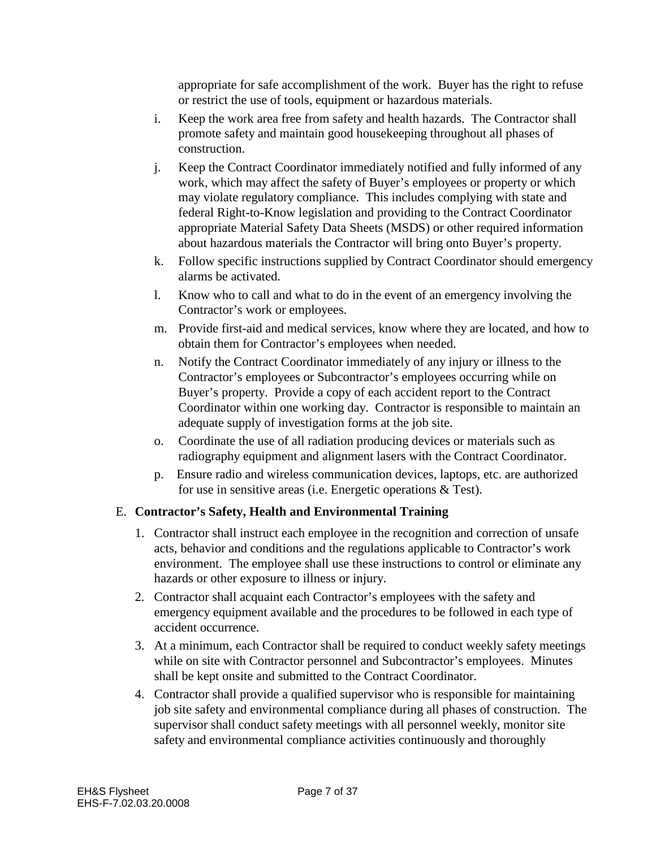appropriate for safe accomplishment of the work. Buyer has the right to refuse or restrict the use of tools, equipment or hazardous materials.

- i. Keep the work area free from safety and health hazards. The Contractor shall promote safety and maintain good housekeeping throughout all phases of construction.
- j. Keep the Contract Coordinator immediately notified and fully informed of any work, which may affect the safety of Buyer's employees or property or which may violate regulatory compliance. This includes complying with state and federal Right-to-Know legislation and providing to the Contract Coordinator appropriate Material Safety Data Sheets (MSDS) or other required information about hazardous materials the Contractor will bring onto Buyer's property.
- k. Follow specific instructions supplied by Contract Coordinator should emergency alarms be activated.
- l. Know who to call and what to do in the event of an emergency involving the Contractor's work or employees.
- m. Provide first-aid and medical services, know where they are located, and how to obtain them for Contractor's employees when needed.
- n. Notify the Contract Coordinator immediately of any injury or illness to the Contractor's employees or Subcontractor's employees occurring while on Buyer's property. Provide a copy of each accident report to the Contract Coordinator within one working day. Contractor is responsible to maintain an adequate supply of investigation forms at the job site.
- o. Coordinate the use of all radiation producing devices or materials such as radiography equipment and alignment lasers with the Contract Coordinator.
- p. Ensure radio and wireless communication devices, laptops, etc. are authorized for use in sensitive areas (i.e. Energetic operations & Test).

# E. **Contractor's Safety, Health and Environmental Training**

- 1. Contractor shall instruct each employee in the recognition and correction of unsafe acts, behavior and conditions and the regulations applicable to Contractor's work environment. The employee shall use these instructions to control or eliminate any hazards or other exposure to illness or injury.
- 2. Contractor shall acquaint each Contractor's employees with the safety and emergency equipment available and the procedures to be followed in each type of accident occurrence.
- 3. At a minimum, each Contractor shall be required to conduct weekly safety meetings while on site with Contractor personnel and Subcontractor's employees. Minutes shall be kept onsite and submitted to the Contract Coordinator.
- 4. Contractor shall provide a qualified supervisor who is responsible for maintaining job site safety and environmental compliance during all phases of construction. The supervisor shall conduct safety meetings with all personnel weekly, monitor site safety and environmental compliance activities continuously and thoroughly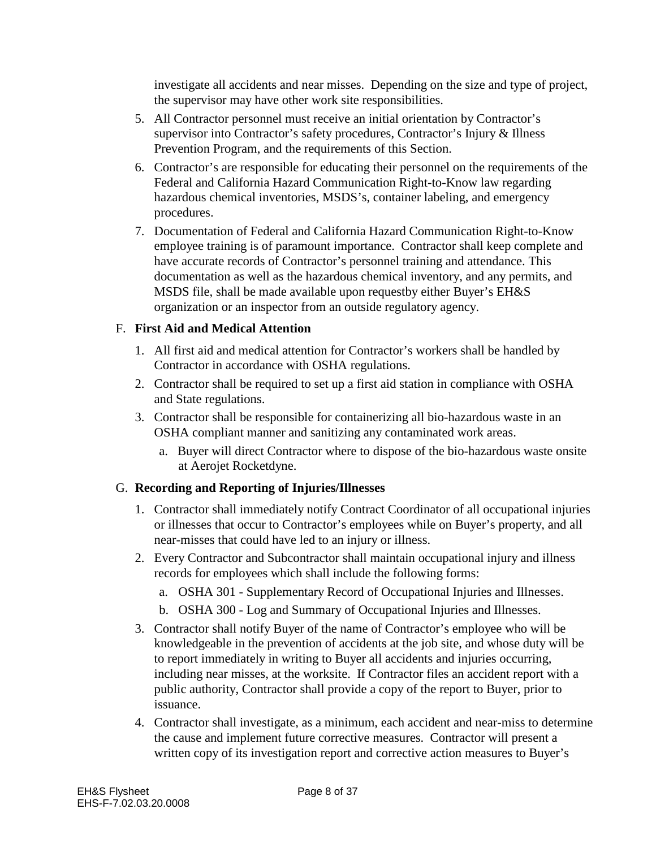investigate all accidents and near misses. Depending on the size and type of project, the supervisor may have other work site responsibilities.

- 5. All Contractor personnel must receive an initial orientation by Contractor's supervisor into Contractor's safety procedures, Contractor's Injury & Illness Prevention Program, and the requirements of this Section.
- 6. Contractor's are responsible for educating their personnel on the requirements of the Federal and California Hazard Communication Right-to-Know law regarding hazardous chemical inventories, MSDS's, container labeling, and emergency procedures.
- 7. Documentation of Federal and California Hazard Communication Right-to-Know employee training is of paramount importance. Contractor shall keep complete and have accurate records of Contractor's personnel training and attendance. This documentation as well as the hazardous chemical inventory, and any permits, and MSDS file, shall be made available upon requestby either Buyer's EH&S organization or an inspector from an outside regulatory agency.

# F. **First Aid and Medical Attention**

- 1. All first aid and medical attention for Contractor's workers shall be handled by Contractor in accordance with OSHA regulations.
- 2. Contractor shall be required to set up a first aid station in compliance with OSHA and State regulations.
- 3. Contractor shall be responsible for containerizing all bio-hazardous waste in an OSHA compliant manner and sanitizing any contaminated work areas.
	- a. Buyer will direct Contractor where to dispose of the bio-hazardous waste onsite at Aerojet Rocketdyne.

# G. **Recording and Reporting of Injuries/Illnesses**

- 1. Contractor shall immediately notify Contract Coordinator of all occupational injuries or illnesses that occur to Contractor's employees while on Buyer's property, and all near-misses that could have led to an injury or illness.
- 2. Every Contractor and Subcontractor shall maintain occupational injury and illness records for employees which shall include the following forms:
	- a. OSHA 301 Supplementary Record of Occupational Injuries and Illnesses.
	- b. OSHA 300 Log and Summary of Occupational Injuries and Illnesses.
- 3. Contractor shall notify Buyer of the name of Contractor's employee who will be knowledgeable in the prevention of accidents at the job site, and whose duty will be to report immediately in writing to Buyer all accidents and injuries occurring, including near misses, at the worksite. If Contractor files an accident report with a public authority, Contractor shall provide a copy of the report to Buyer, prior to issuance.
- 4. Contractor shall investigate, as a minimum, each accident and near-miss to determine the cause and implement future corrective measures. Contractor will present a written copy of its investigation report and corrective action measures to Buyer's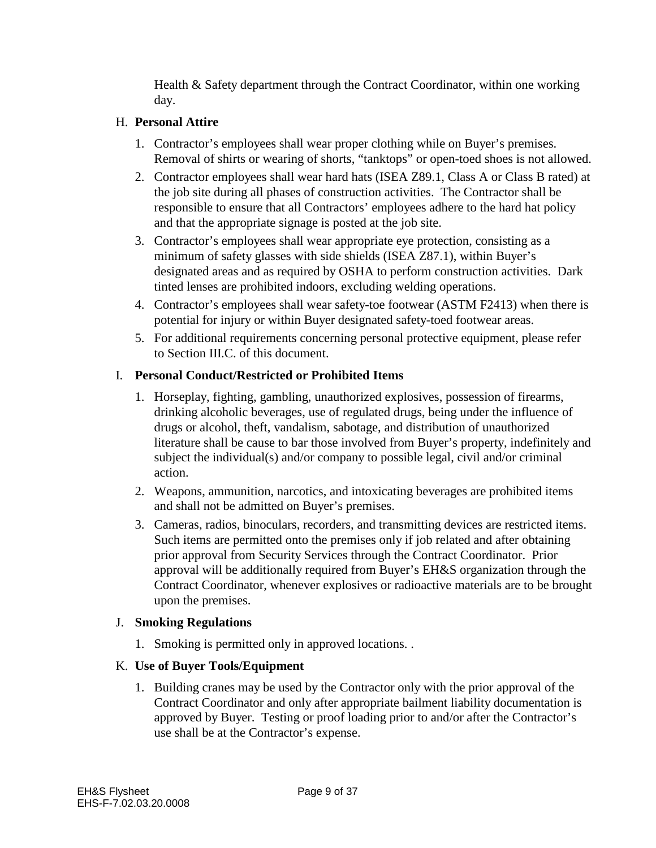Health & Safety department through the Contract Coordinator, within one working day.

#### H. **Personal Attire**

- 1. Contractor's employees shall wear proper clothing while on Buyer's premises. Removal of shirts or wearing of shorts, "tanktops" or open-toed shoes is not allowed.
- 2. Contractor employees shall wear hard hats (ISEA Z89.1, Class A or Class B rated) at the job site during all phases of construction activities. The Contractor shall be responsible to ensure that all Contractors' employees adhere to the hard hat policy and that the appropriate signage is posted at the job site.
- 3. Contractor's employees shall wear appropriate eye protection, consisting as a minimum of safety glasses with side shields (ISEA Z87.1), within Buyer's designated areas and as required by OSHA to perform construction activities. Dark tinted lenses are prohibited indoors, excluding welding operations.
- 4. Contractor's employees shall wear safety-toe footwear (ASTM F2413) when there is potential for injury or within Buyer designated safety-toed footwear areas.
- 5. For additional requirements concerning personal protective equipment, please refer to Section III.C. of this document.

#### I. **Personal Conduct/Restricted or Prohibited Items**

- 1. Horseplay, fighting, gambling, unauthorized explosives, possession of firearms, drinking alcoholic beverages, use of regulated drugs, being under the influence of drugs or alcohol, theft, vandalism, sabotage, and distribution of unauthorized literature shall be cause to bar those involved from Buyer's property, indefinitely and subject the individual(s) and/or company to possible legal, civil and/or criminal action.
- 2. Weapons, ammunition, narcotics, and intoxicating beverages are prohibited items and shall not be admitted on Buyer's premises.
- 3. Cameras, radios, binoculars, recorders, and transmitting devices are restricted items. Such items are permitted onto the premises only if job related and after obtaining prior approval from Security Services through the Contract Coordinator. Prior approval will be additionally required from Buyer's EH&S organization through the Contract Coordinator, whenever explosives or radioactive materials are to be brought upon the premises.

# J. **Smoking Regulations**

1. Smoking is permitted only in approved locations. .

# K. **Use of Buyer Tools/Equipment**

1. Building cranes may be used by the Contractor only with the prior approval of the Contract Coordinator and only after appropriate bailment liability documentation is approved by Buyer. Testing or proof loading prior to and/or after the Contractor's use shall be at the Contractor's expense.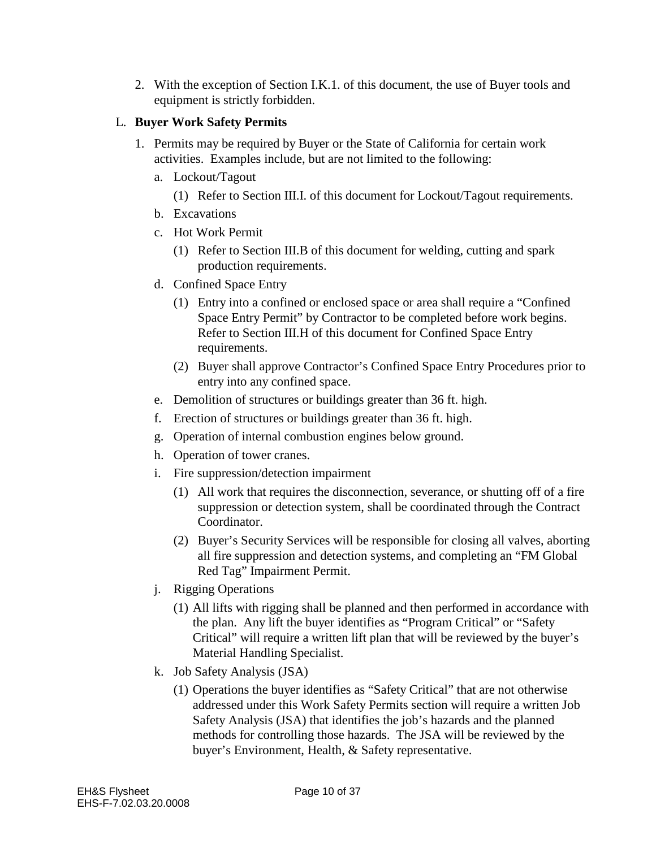2. With the exception of Section I.K.1. of this document, the use of Buyer tools and equipment is strictly forbidden.

#### L. **Buyer Work Safety Permits**

- 1. Permits may be required by Buyer or the State of California for certain work activities. Examples include, but are not limited to the following:
	- a. Lockout/Tagout
		- (1) Refer to Section III.I. of this document for Lockout/Tagout requirements.
	- b. Excavations
	- c. Hot Work Permit
		- (1) Refer to Section III.B of this document for welding, cutting and spark production requirements.
	- d. Confined Space Entry
		- (1) Entry into a confined or enclosed space or area shall require a "Confined Space Entry Permit" by Contractor to be completed before work begins. Refer to Section III.H of this document for Confined Space Entry requirements.
		- (2) Buyer shall approve Contractor's Confined Space Entry Procedures prior to entry into any confined space.
	- e. Demolition of structures or buildings greater than 36 ft. high.
	- f. Erection of structures or buildings greater than 36 ft. high.
	- g. Operation of internal combustion engines below ground.
	- h. Operation of tower cranes.
	- i. Fire suppression/detection impairment
		- (1) All work that requires the disconnection, severance, or shutting off of a fire suppression or detection system, shall be coordinated through the Contract Coordinator.
		- (2) Buyer's Security Services will be responsible for closing all valves, aborting all fire suppression and detection systems, and completing an "FM Global Red Tag" Impairment Permit.
	- j. Rigging Operations
		- (1) All lifts with rigging shall be planned and then performed in accordance with the plan. Any lift the buyer identifies as "Program Critical" or "Safety Critical" will require a written lift plan that will be reviewed by the buyer's Material Handling Specialist.
	- k. Job Safety Analysis (JSA)
		- (1) Operations the buyer identifies as "Safety Critical" that are not otherwise addressed under this Work Safety Permits section will require a written Job Safety Analysis (JSA) that identifies the job's hazards and the planned methods for controlling those hazards. The JSA will be reviewed by the buyer's Environment, Health, & Safety representative.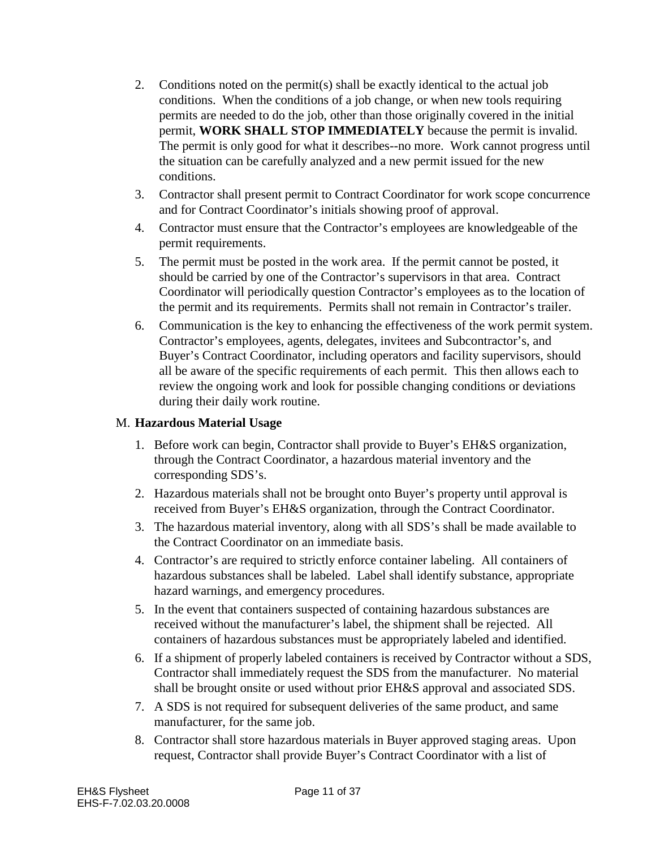- 2. Conditions noted on the permit(s) shall be exactly identical to the actual job conditions. When the conditions of a job change, or when new tools requiring permits are needed to do the job, other than those originally covered in the initial permit, **WORK SHALL STOP IMMEDIATELY** because the permit is invalid. The permit is only good for what it describes--no more. Work cannot progress until the situation can be carefully analyzed and a new permit issued for the new conditions.
- 3. Contractor shall present permit to Contract Coordinator for work scope concurrence and for Contract Coordinator's initials showing proof of approval.
- 4. Contractor must ensure that the Contractor's employees are knowledgeable of the permit requirements.
- 5. The permit must be posted in the work area. If the permit cannot be posted, it should be carried by one of the Contractor's supervisors in that area. Contract Coordinator will periodically question Contractor's employees as to the location of the permit and its requirements. Permits shall not remain in Contractor's trailer.
- 6. Communication is the key to enhancing the effectiveness of the work permit system. Contractor's employees, agents, delegates, invitees and Subcontractor's, and Buyer's Contract Coordinator, including operators and facility supervisors, should all be aware of the specific requirements of each permit. This then allows each to review the ongoing work and look for possible changing conditions or deviations during their daily work routine.

#### M. **Hazardous Material Usage**

- 1. Before work can begin, Contractor shall provide to Buyer's EH&S organization, through the Contract Coordinator, a hazardous material inventory and the corresponding SDS's.
- 2. Hazardous materials shall not be brought onto Buyer's property until approval is received from Buyer's EH&S organization, through the Contract Coordinator.
- 3. The hazardous material inventory, along with all SDS's shall be made available to the Contract Coordinator on an immediate basis.
- 4. Contractor's are required to strictly enforce container labeling. All containers of hazardous substances shall be labeled. Label shall identify substance, appropriate hazard warnings, and emergency procedures.
- 5. In the event that containers suspected of containing hazardous substances are received without the manufacturer's label, the shipment shall be rejected. All containers of hazardous substances must be appropriately labeled and identified.
- 6. If a shipment of properly labeled containers is received by Contractor without a SDS, Contractor shall immediately request the SDS from the manufacturer. No material shall be brought onsite or used without prior EH&S approval and associated SDS.
- 7. A SDS is not required for subsequent deliveries of the same product, and same manufacturer, for the same job.
- 8. Contractor shall store hazardous materials in Buyer approved staging areas. Upon request, Contractor shall provide Buyer's Contract Coordinator with a list of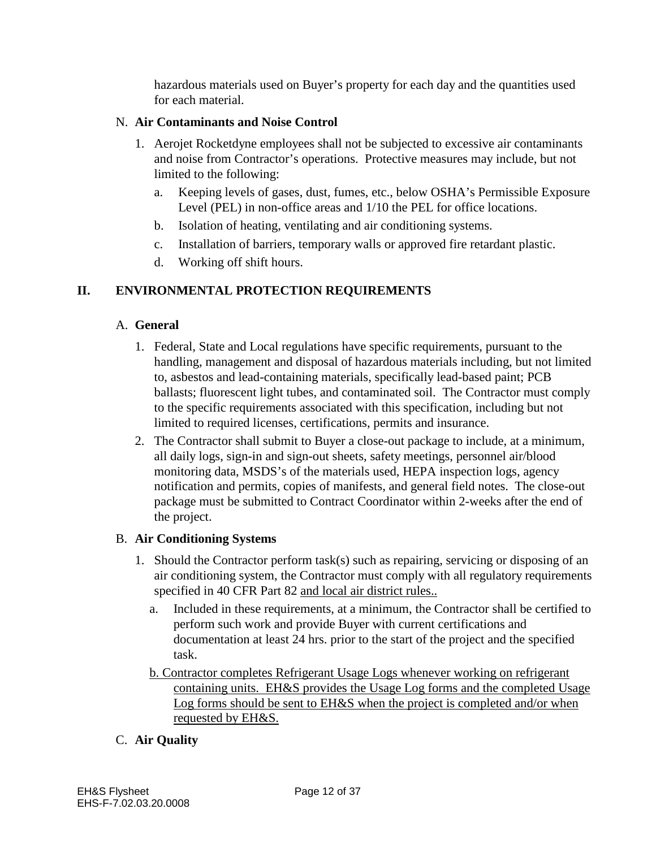hazardous materials used on Buyer's property for each day and the quantities used for each material.

# N. **Air Contaminants and Noise Control**

- 1. Aerojet Rocketdyne employees shall not be subjected to excessive air contaminants and noise from Contractor's operations. Protective measures may include, but not limited to the following:
	- a. Keeping levels of gases, dust, fumes, etc., below OSHA's Permissible Exposure Level (PEL) in non-office areas and 1/10 the PEL for office locations.
	- b. Isolation of heating, ventilating and air conditioning systems.
	- c. Installation of barriers, temporary walls or approved fire retardant plastic.
	- d. Working off shift hours.

#### **II. ENVIRONMENTAL PROTECTION REQUIREMENTS**

#### A. **General**

- 1. Federal, State and Local regulations have specific requirements, pursuant to the handling, management and disposal of hazardous materials including, but not limited to, asbestos and lead-containing materials, specifically lead-based paint; PCB ballasts; fluorescent light tubes, and contaminated soil. The Contractor must comply to the specific requirements associated with this specification, including but not limited to required licenses, certifications, permits and insurance.
- 2. The Contractor shall submit to Buyer a close-out package to include, at a minimum, all daily logs, sign-in and sign-out sheets, safety meetings, personnel air/blood monitoring data, MSDS's of the materials used, HEPA inspection logs, agency notification and permits, copies of manifests, and general field notes. The close-out package must be submitted to Contract Coordinator within 2-weeks after the end of the project.

#### B. **Air Conditioning Systems**

- 1. Should the Contractor perform task(s) such as repairing, servicing or disposing of an air conditioning system, the Contractor must comply with all regulatory requirements specified in 40 CFR Part 82 and local air district rules..
	- a. Included in these requirements, at a minimum, the Contractor shall be certified to perform such work and provide Buyer with current certifications and documentation at least 24 hrs. prior to the start of the project and the specified task.
	- b. Contractor completes Refrigerant Usage Logs whenever working on refrigerant containing units. EH&S provides the Usage Log forms and the completed Usage Log forms should be sent to EH&S when the project is completed and/or when requested by EH&S.

# C. **Air Quality**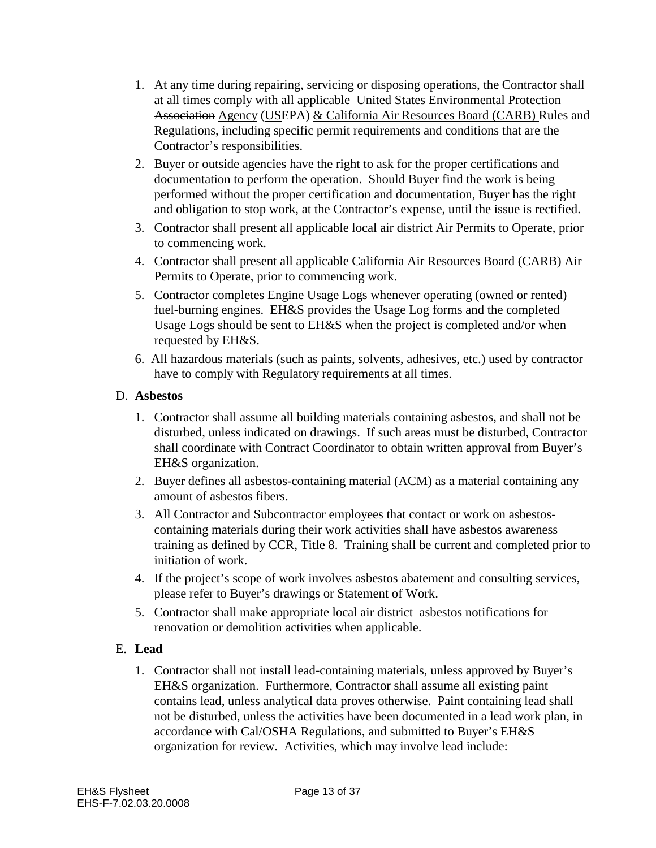- 1. At any time during repairing, servicing or disposing operations, the Contractor shall at all times comply with all applicable United States Environmental Protection Association Agency (USEPA) & California Air Resources Board (CARB) Rules and Regulations, including specific permit requirements and conditions that are the Contractor's responsibilities.
- 2. Buyer or outside agencies have the right to ask for the proper certifications and documentation to perform the operation. Should Buyer find the work is being performed without the proper certification and documentation, Buyer has the right and obligation to stop work, at the Contractor's expense, until the issue is rectified.
- 3. Contractor shall present all applicable local air district Air Permits to Operate, prior to commencing work.
- 4. Contractor shall present all applicable California Air Resources Board (CARB) Air Permits to Operate, prior to commencing work.
- 5. Contractor completes Engine Usage Logs whenever operating (owned or rented) fuel-burning engines. EH&S provides the Usage Log forms and the completed Usage Logs should be sent to EH&S when the project is completed and/or when requested by EH&S.
- 6. All hazardous materials (such as paints, solvents, adhesives, etc.) used by contractor have to comply with Regulatory requirements at all times.

#### D. **Asbestos**

- 1. Contractor shall assume all building materials containing asbestos, and shall not be disturbed, unless indicated on drawings. If such areas must be disturbed, Contractor shall coordinate with Contract Coordinator to obtain written approval from Buyer's EH&S organization.
- 2. Buyer defines all asbestos-containing material (ACM) as a material containing any amount of asbestos fibers.
- 3. All Contractor and Subcontractor employees that contact or work on asbestoscontaining materials during their work activities shall have asbestos awareness training as defined by CCR, Title 8. Training shall be current and completed prior to initiation of work.
- 4. If the project's scope of work involves asbestos abatement and consulting services, please refer to Buyer's drawings or Statement of Work.
- 5. Contractor shall make appropriate local air district asbestos notifications for renovation or demolition activities when applicable.

# E. **Lead**

1. Contractor shall not install lead-containing materials, unless approved by Buyer's EH&S organization. Furthermore, Contractor shall assume all existing paint contains lead, unless analytical data proves otherwise. Paint containing lead shall not be disturbed, unless the activities have been documented in a lead work plan, in accordance with Cal/OSHA Regulations, and submitted to Buyer's EH&S organization for review. Activities, which may involve lead include: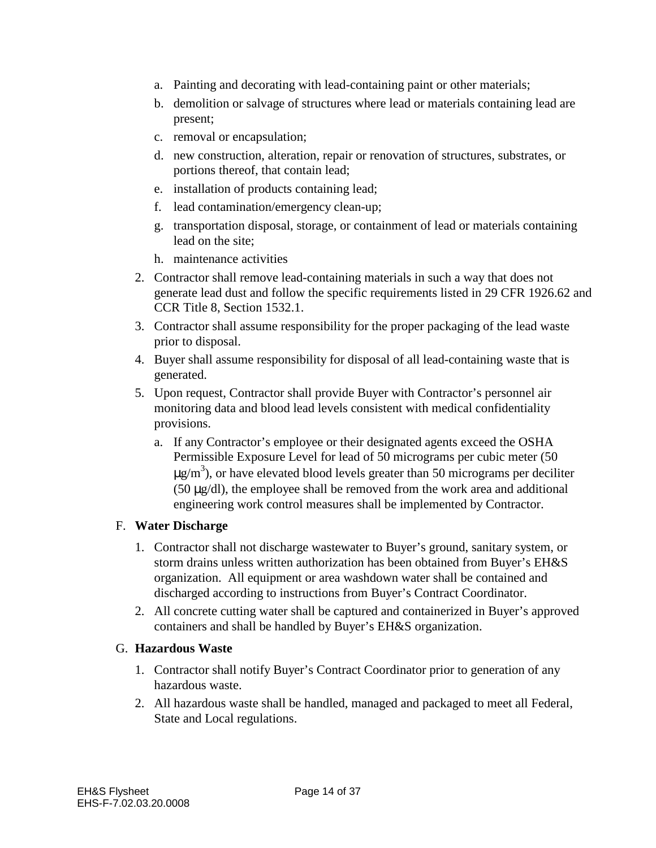- a. Painting and decorating with lead-containing paint or other materials;
- b. demolition or salvage of structures where lead or materials containing lead are present;
- c. removal or encapsulation;
- d. new construction, alteration, repair or renovation of structures, substrates, or portions thereof, that contain lead;
- e. installation of products containing lead;
- f. lead contamination/emergency clean-up;
- g. transportation disposal, storage, or containment of lead or materials containing lead on the site;
- h. maintenance activities
- 2. Contractor shall remove lead-containing materials in such a way that does not generate lead dust and follow the specific requirements listed in 29 CFR 1926.62 and CCR Title 8, Section 1532.1.
- 3. Contractor shall assume responsibility for the proper packaging of the lead waste prior to disposal.
- 4. Buyer shall assume responsibility for disposal of all lead-containing waste that is generated.
- 5. Upon request, Contractor shall provide Buyer with Contractor's personnel air monitoring data and blood lead levels consistent with medical confidentiality provisions.
	- a. If any Contractor's employee or their designated agents exceed the OSHA Permissible Exposure Level for lead of 50 micrograms per cubic meter (50  $\mu$ g/m<sup>3</sup>), or have elevated blood levels greater than 50 micrograms per deciliter (50 µg/dl), the employee shall be removed from the work area and additional engineering work control measures shall be implemented by Contractor.

# F. **Water Discharge**

- 1. Contractor shall not discharge wastewater to Buyer's ground, sanitary system, or storm drains unless written authorization has been obtained from Buyer's EH&S organization. All equipment or area washdown water shall be contained and discharged according to instructions from Buyer's Contract Coordinator.
- 2. All concrete cutting water shall be captured and containerized in Buyer's approved containers and shall be handled by Buyer's EH&S organization.

# G. **Hazardous Waste**

- 1. Contractor shall notify Buyer's Contract Coordinator prior to generation of any hazardous waste.
- 2. All hazardous waste shall be handled, managed and packaged to meet all Federal, State and Local regulations.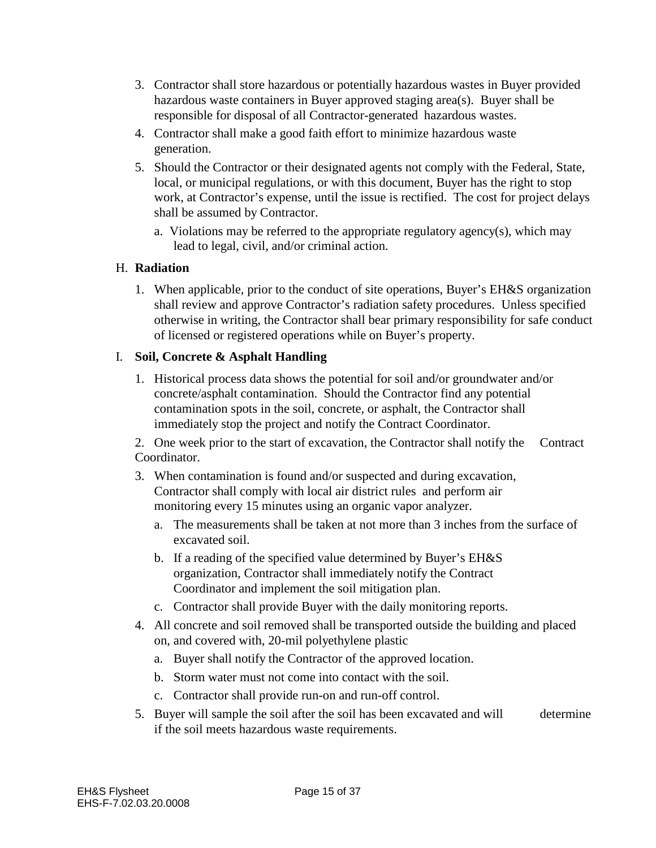- 3. Contractor shall store hazardous or potentially hazardous wastes in Buyer provided hazardous waste containers in Buyer approved staging area(s). Buyer shall be responsible for disposal of all Contractor-generated hazardous wastes.
- 4. Contractor shall make a good faith effort to minimize hazardous waste generation.
- 5. Should the Contractor or their designated agents not comply with the Federal, State, local, or municipal regulations, or with this document, Buyer has the right to stop work, at Contractor's expense, until the issue is rectified. The cost for project delays shall be assumed by Contractor.
	- a. Violations may be referred to the appropriate regulatory agency(s), which may lead to legal, civil, and/or criminal action.

# H. **Radiation**

1. When applicable, prior to the conduct of site operations, Buyer's EH&S organization shall review and approve Contractor's radiation safety procedures. Unless specified otherwise in writing, the Contractor shall bear primary responsibility for safe conduct of licensed or registered operations while on Buyer's property.

# I. **Soil, Concrete & Asphalt Handling**

1. Historical process data shows the potential for soil and/or groundwater and/or concrete/asphalt contamination. Should the Contractor find any potential contamination spots in the soil, concrete, or asphalt, the Contractor shall immediately stop the project and notify the Contract Coordinator.

 2. One week prior to the start of excavation, the Contractor shall notify the Contract Coordinator.

- 3. When contamination is found and/or suspected and during excavation, Contractor shall comply with local air district rules and perform air monitoring every 15 minutes using an organic vapor analyzer.
	- a. The measurements shall be taken at not more than 3 inches from the surface of excavated soil.
	- b. If a reading of the specified value determined by Buyer's EH&S organization, Contractor shall immediately notify the Contract Coordinator and implement the soil mitigation plan.
	- c. Contractor shall provide Buyer with the daily monitoring reports.
- 4. All concrete and soil removed shall be transported outside the building and placed on, and covered with, 20-mil polyethylene plastic
	- a. Buyer shall notify the Contractor of the approved location.
	- b. Storm water must not come into contact with the soil.
	- c. Contractor shall provide run-on and run-off control.
- 5. Buyer will sample the soil after the soil has been excavated and will determine if the soil meets hazardous waste requirements.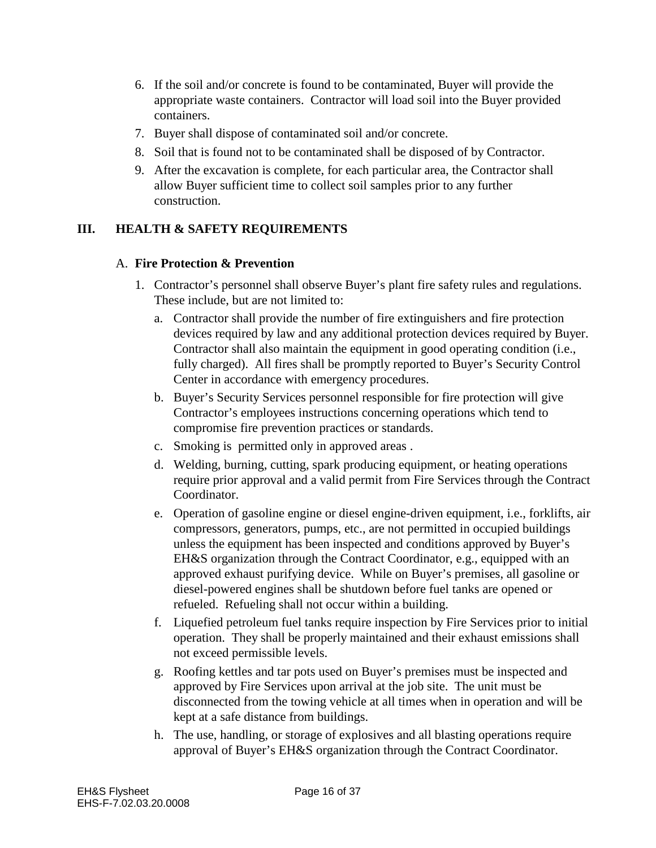- 6. If the soil and/or concrete is found to be contaminated, Buyer will provide the appropriate waste containers. Contractor will load soil into the Buyer provided containers.
- 7. Buyer shall dispose of contaminated soil and/or concrete.
- 8. Soil that is found not to be contaminated shall be disposed of by Contractor.
- 9. After the excavation is complete, for each particular area, the Contractor shall allow Buyer sufficient time to collect soil samples prior to any further construction.

# **III. HEALTH & SAFETY REQUIREMENTS**

#### A. **Fire Protection & Prevention**

- 1. Contractor's personnel shall observe Buyer's plant fire safety rules and regulations. These include, but are not limited to:
	- a. Contractor shall provide the number of fire extinguishers and fire protection devices required by law and any additional protection devices required by Buyer. Contractor shall also maintain the equipment in good operating condition (i.e., fully charged). All fires shall be promptly reported to Buyer's Security Control Center in accordance with emergency procedures.
	- b. Buyer's Security Services personnel responsible for fire protection will give Contractor's employees instructions concerning operations which tend to compromise fire prevention practices or standards.
	- c. Smoking is permitted only in approved areas .
	- d. Welding, burning, cutting, spark producing equipment, or heating operations require prior approval and a valid permit from Fire Services through the Contract Coordinator.
	- e. Operation of gasoline engine or diesel engine-driven equipment, i.e., forklifts, air compressors, generators, pumps, etc., are not permitted in occupied buildings unless the equipment has been inspected and conditions approved by Buyer's EH&S organization through the Contract Coordinator, e.g., equipped with an approved exhaust purifying device. While on Buyer's premises, all gasoline or diesel-powered engines shall be shutdown before fuel tanks are opened or refueled. Refueling shall not occur within a building.
	- f. Liquefied petroleum fuel tanks require inspection by Fire Services prior to initial operation. They shall be properly maintained and their exhaust emissions shall not exceed permissible levels.
	- g. Roofing kettles and tar pots used on Buyer's premises must be inspected and approved by Fire Services upon arrival at the job site. The unit must be disconnected from the towing vehicle at all times when in operation and will be kept at a safe distance from buildings.
	- h. The use, handling, or storage of explosives and all blasting operations require approval of Buyer's EH&S organization through the Contract Coordinator.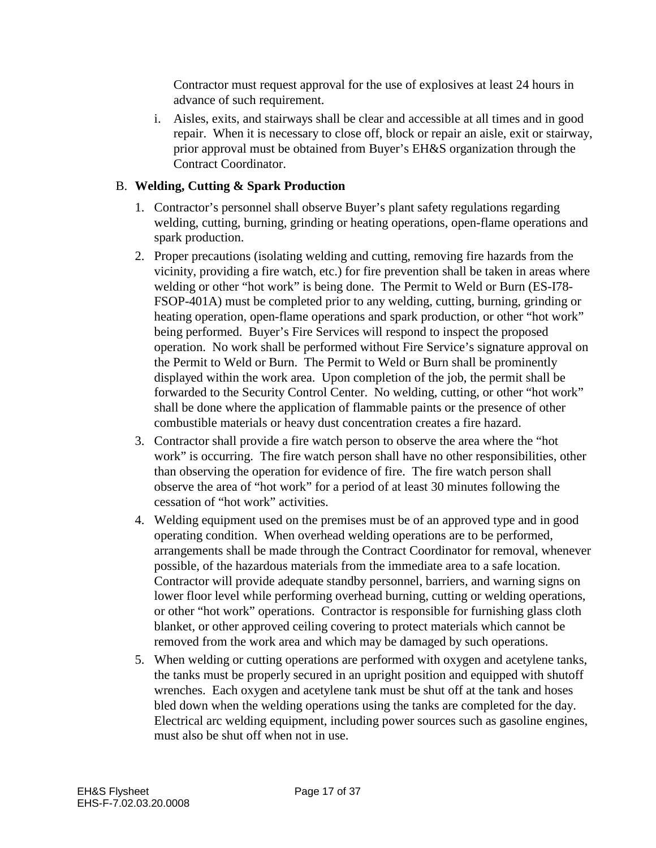Contractor must request approval for the use of explosives at least 24 hours in advance of such requirement.

i. Aisles, exits, and stairways shall be clear and accessible at all times and in good repair. When it is necessary to close off, block or repair an aisle, exit or stairway, prior approval must be obtained from Buyer's EH&S organization through the Contract Coordinator.

# B. **Welding, Cutting & Spark Production**

- 1. Contractor's personnel shall observe Buyer's plant safety regulations regarding welding, cutting, burning, grinding or heating operations, open-flame operations and spark production.
- 2. Proper precautions (isolating welding and cutting, removing fire hazards from the vicinity, providing a fire watch, etc.) for fire prevention shall be taken in areas where welding or other "hot work" is being done. The Permit to Weld or Burn (ES-I78- FSOP-401A) must be completed prior to any welding, cutting, burning, grinding or heating operation, open-flame operations and spark production, or other "hot work" being performed. Buyer's Fire Services will respond to inspect the proposed operation. No work shall be performed without Fire Service's signature approval on the Permit to Weld or Burn. The Permit to Weld or Burn shall be prominently displayed within the work area. Upon completion of the job, the permit shall be forwarded to the Security Control Center. No welding, cutting, or other "hot work" shall be done where the application of flammable paints or the presence of other combustible materials or heavy dust concentration creates a fire hazard.
- 3. Contractor shall provide a fire watch person to observe the area where the "hot work" is occurring. The fire watch person shall have no other responsibilities, other than observing the operation for evidence of fire. The fire watch person shall observe the area of "hot work" for a period of at least 30 minutes following the cessation of "hot work" activities.
- 4. Welding equipment used on the premises must be of an approved type and in good operating condition. When overhead welding operations are to be performed, arrangements shall be made through the Contract Coordinator for removal, whenever possible, of the hazardous materials from the immediate area to a safe location. Contractor will provide adequate standby personnel, barriers, and warning signs on lower floor level while performing overhead burning, cutting or welding operations, or other "hot work" operations. Contractor is responsible for furnishing glass cloth blanket, or other approved ceiling covering to protect materials which cannot be removed from the work area and which may be damaged by such operations.
- 5. When welding or cutting operations are performed with oxygen and acetylene tanks, the tanks must be properly secured in an upright position and equipped with shutoff wrenches. Each oxygen and acetylene tank must be shut off at the tank and hoses bled down when the welding operations using the tanks are completed for the day. Electrical arc welding equipment, including power sources such as gasoline engines, must also be shut off when not in use.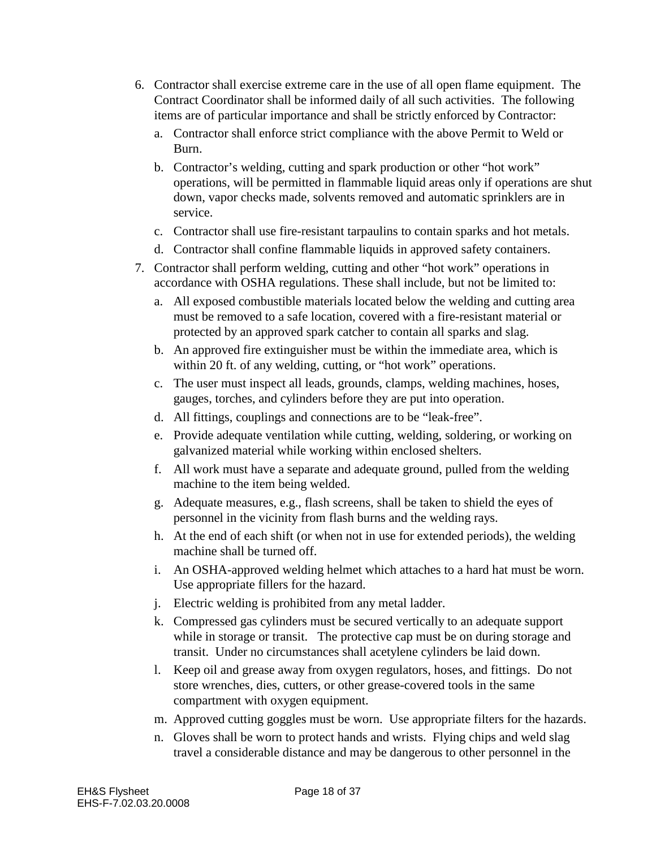- 6. Contractor shall exercise extreme care in the use of all open flame equipment. The Contract Coordinator shall be informed daily of all such activities. The following items are of particular importance and shall be strictly enforced by Contractor:
	- a. Contractor shall enforce strict compliance with the above Permit to Weld or Burn.
	- b. Contractor's welding, cutting and spark production or other "hot work" operations, will be permitted in flammable liquid areas only if operations are shut down, vapor checks made, solvents removed and automatic sprinklers are in service.
	- c. Contractor shall use fire-resistant tarpaulins to contain sparks and hot metals.
	- d. Contractor shall confine flammable liquids in approved safety containers.
- 7. Contractor shall perform welding, cutting and other "hot work" operations in accordance with OSHA regulations. These shall include, but not be limited to:
	- a. All exposed combustible materials located below the welding and cutting area must be removed to a safe location, covered with a fire-resistant material or protected by an approved spark catcher to contain all sparks and slag.
	- b. An approved fire extinguisher must be within the immediate area, which is within 20 ft. of any welding, cutting, or "hot work" operations.
	- c. The user must inspect all leads, grounds, clamps, welding machines, hoses, gauges, torches, and cylinders before they are put into operation.
	- d. All fittings, couplings and connections are to be "leak-free".
	- e. Provide adequate ventilation while cutting, welding, soldering, or working on galvanized material while working within enclosed shelters.
	- f. All work must have a separate and adequate ground, pulled from the welding machine to the item being welded.
	- g. Adequate measures, e.g., flash screens, shall be taken to shield the eyes of personnel in the vicinity from flash burns and the welding rays.
	- h. At the end of each shift (or when not in use for extended periods), the welding machine shall be turned off.
	- i. An OSHA-approved welding helmet which attaches to a hard hat must be worn. Use appropriate fillers for the hazard.
	- j. Electric welding is prohibited from any metal ladder.
	- k. Compressed gas cylinders must be secured vertically to an adequate support while in storage or transit. The protective cap must be on during storage and transit. Under no circumstances shall acetylene cylinders be laid down.
	- l. Keep oil and grease away from oxygen regulators, hoses, and fittings. Do not store wrenches, dies, cutters, or other grease-covered tools in the same compartment with oxygen equipment.
	- m. Approved cutting goggles must be worn. Use appropriate filters for the hazards.
	- n. Gloves shall be worn to protect hands and wrists. Flying chips and weld slag travel a considerable distance and may be dangerous to other personnel in the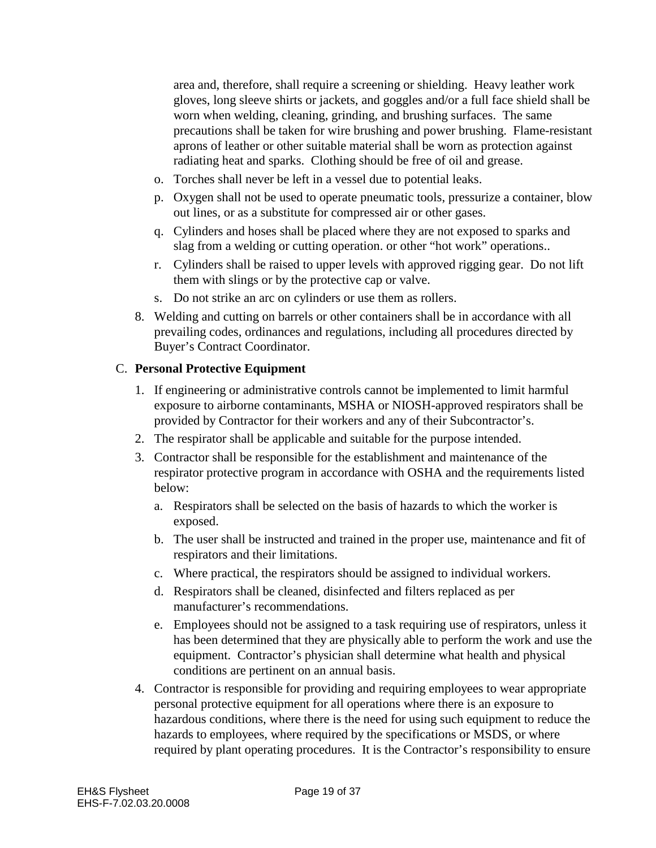area and, therefore, shall require a screening or shielding. Heavy leather work gloves, long sleeve shirts or jackets, and goggles and/or a full face shield shall be worn when welding, cleaning, grinding, and brushing surfaces. The same precautions shall be taken for wire brushing and power brushing. Flame-resistant aprons of leather or other suitable material shall be worn as protection against radiating heat and sparks. Clothing should be free of oil and grease.

- o. Torches shall never be left in a vessel due to potential leaks.
- p. Oxygen shall not be used to operate pneumatic tools, pressurize a container, blow out lines, or as a substitute for compressed air or other gases.
- q. Cylinders and hoses shall be placed where they are not exposed to sparks and slag from a welding or cutting operation. or other "hot work" operations..
- r. Cylinders shall be raised to upper levels with approved rigging gear. Do not lift them with slings or by the protective cap or valve.
- s. Do not strike an arc on cylinders or use them as rollers.
- 8. Welding and cutting on barrels or other containers shall be in accordance with all prevailing codes, ordinances and regulations, including all procedures directed by Buyer's Contract Coordinator.

#### C. **Personal Protective Equipment**

- 1. If engineering or administrative controls cannot be implemented to limit harmful exposure to airborne contaminants, MSHA or NIOSH-approved respirators shall be provided by Contractor for their workers and any of their Subcontractor's.
- 2. The respirator shall be applicable and suitable for the purpose intended.
- 3. Contractor shall be responsible for the establishment and maintenance of the respirator protective program in accordance with OSHA and the requirements listed below:
	- a. Respirators shall be selected on the basis of hazards to which the worker is exposed.
	- b. The user shall be instructed and trained in the proper use, maintenance and fit of respirators and their limitations.
	- c. Where practical, the respirators should be assigned to individual workers.
	- d. Respirators shall be cleaned, disinfected and filters replaced as per manufacturer's recommendations.
	- e. Employees should not be assigned to a task requiring use of respirators, unless it has been determined that they are physically able to perform the work and use the equipment. Contractor's physician shall determine what health and physical conditions are pertinent on an annual basis.
- 4. Contractor is responsible for providing and requiring employees to wear appropriate personal protective equipment for all operations where there is an exposure to hazardous conditions, where there is the need for using such equipment to reduce the hazards to employees, where required by the specifications or MSDS, or where required by plant operating procedures. It is the Contractor's responsibility to ensure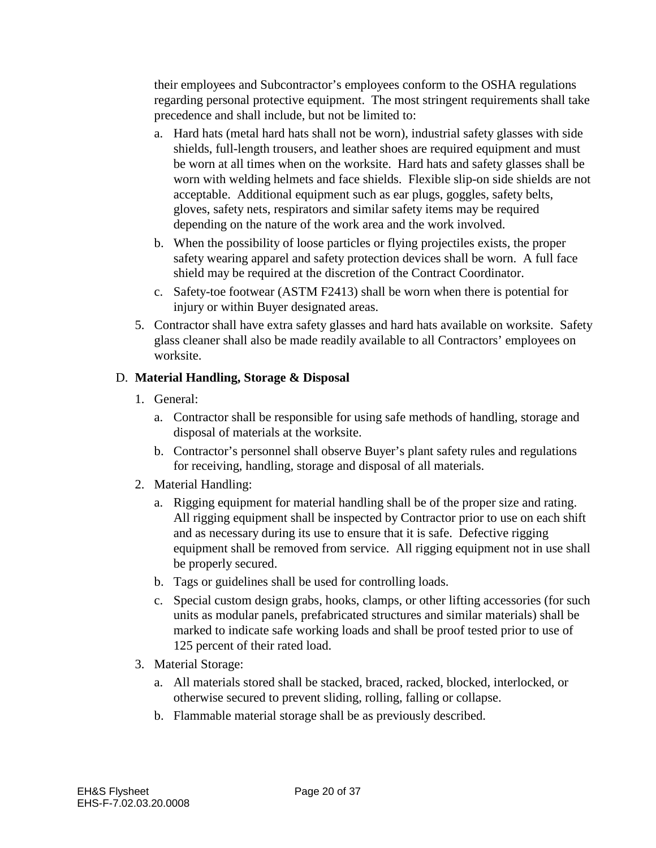their employees and Subcontractor's employees conform to the OSHA regulations regarding personal protective equipment. The most stringent requirements shall take precedence and shall include, but not be limited to:

- a. Hard hats (metal hard hats shall not be worn), industrial safety glasses with side shields, full-length trousers, and leather shoes are required equipment and must be worn at all times when on the worksite. Hard hats and safety glasses shall be worn with welding helmets and face shields. Flexible slip-on side shields are not acceptable. Additional equipment such as ear plugs, goggles, safety belts, gloves, safety nets, respirators and similar safety items may be required depending on the nature of the work area and the work involved.
- b. When the possibility of loose particles or flying projectiles exists, the proper safety wearing apparel and safety protection devices shall be worn. A full face shield may be required at the discretion of the Contract Coordinator.
- c. Safety-toe footwear (ASTM F2413) shall be worn when there is potential for injury or within Buyer designated areas.
- 5. Contractor shall have extra safety glasses and hard hats available on worksite. Safety glass cleaner shall also be made readily available to all Contractors' employees on worksite.

# D. **Material Handling, Storage & Disposal**

- 1. General:
	- a. Contractor shall be responsible for using safe methods of handling, storage and disposal of materials at the worksite.
	- b. Contractor's personnel shall observe Buyer's plant safety rules and regulations for receiving, handling, storage and disposal of all materials.
- 2. Material Handling:
	- a. Rigging equipment for material handling shall be of the proper size and rating. All rigging equipment shall be inspected by Contractor prior to use on each shift and as necessary during its use to ensure that it is safe. Defective rigging equipment shall be removed from service. All rigging equipment not in use shall be properly secured.
	- b. Tags or guidelines shall be used for controlling loads.
	- c. Special custom design grabs, hooks, clamps, or other lifting accessories (for such units as modular panels, prefabricated structures and similar materials) shall be marked to indicate safe working loads and shall be proof tested prior to use of 125 percent of their rated load.
- 3. Material Storage:
	- a. All materials stored shall be stacked, braced, racked, blocked, interlocked, or otherwise secured to prevent sliding, rolling, falling or collapse.
	- b. Flammable material storage shall be as previously described.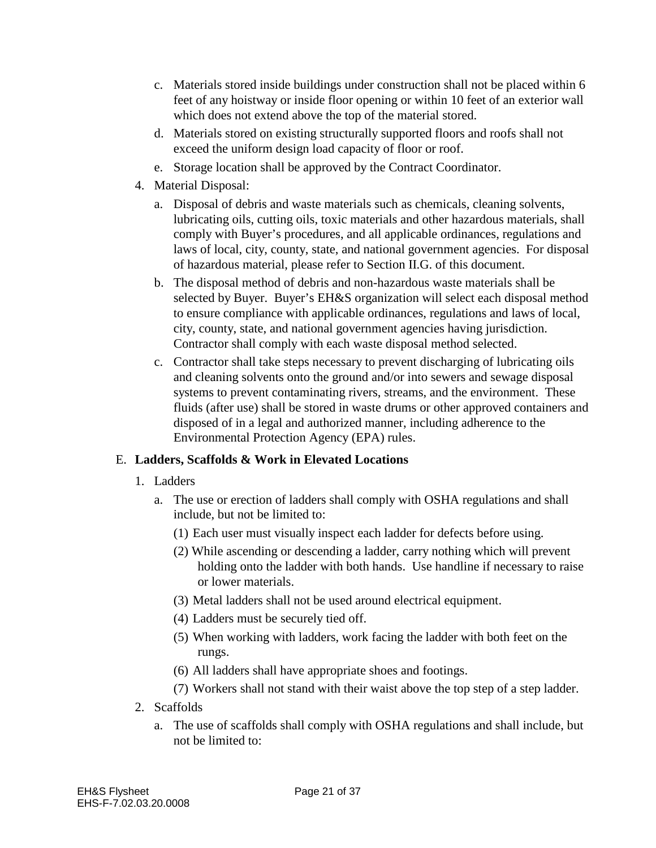- c. Materials stored inside buildings under construction shall not be placed within 6 feet of any hoistway or inside floor opening or within 10 feet of an exterior wall which does not extend above the top of the material stored.
- d. Materials stored on existing structurally supported floors and roofs shall not exceed the uniform design load capacity of floor or roof.
- e. Storage location shall be approved by the Contract Coordinator.
- 4. Material Disposal:
	- a. Disposal of debris and waste materials such as chemicals, cleaning solvents, lubricating oils, cutting oils, toxic materials and other hazardous materials, shall comply with Buyer's procedures, and all applicable ordinances, regulations and laws of local, city, county, state, and national government agencies. For disposal of hazardous material, please refer to Section II.G. of this document.
	- b. The disposal method of debris and non-hazardous waste materials shall be selected by Buyer. Buyer's EH&S organization will select each disposal method to ensure compliance with applicable ordinances, regulations and laws of local, city, county, state, and national government agencies having jurisdiction. Contractor shall comply with each waste disposal method selected.
	- c. Contractor shall take steps necessary to prevent discharging of lubricating oils and cleaning solvents onto the ground and/or into sewers and sewage disposal systems to prevent contaminating rivers, streams, and the environment. These fluids (after use) shall be stored in waste drums or other approved containers and disposed of in a legal and authorized manner, including adherence to the Environmental Protection Agency (EPA) rules.

# E. **Ladders, Scaffolds & Work in Elevated Locations**

- 1. Ladders
	- a. The use or erection of ladders shall comply with OSHA regulations and shall include, but not be limited to:
		- (1) Each user must visually inspect each ladder for defects before using.
		- (2) While ascending or descending a ladder, carry nothing which will prevent holding onto the ladder with both hands. Use handline if necessary to raise or lower materials.
		- (3) Metal ladders shall not be used around electrical equipment.
		- (4) Ladders must be securely tied off.
		- (5) When working with ladders, work facing the ladder with both feet on the rungs.
		- (6) All ladders shall have appropriate shoes and footings.
		- (7) Workers shall not stand with their waist above the top step of a step ladder.
- 2. Scaffolds
	- a. The use of scaffolds shall comply with OSHA regulations and shall include, but not be limited to: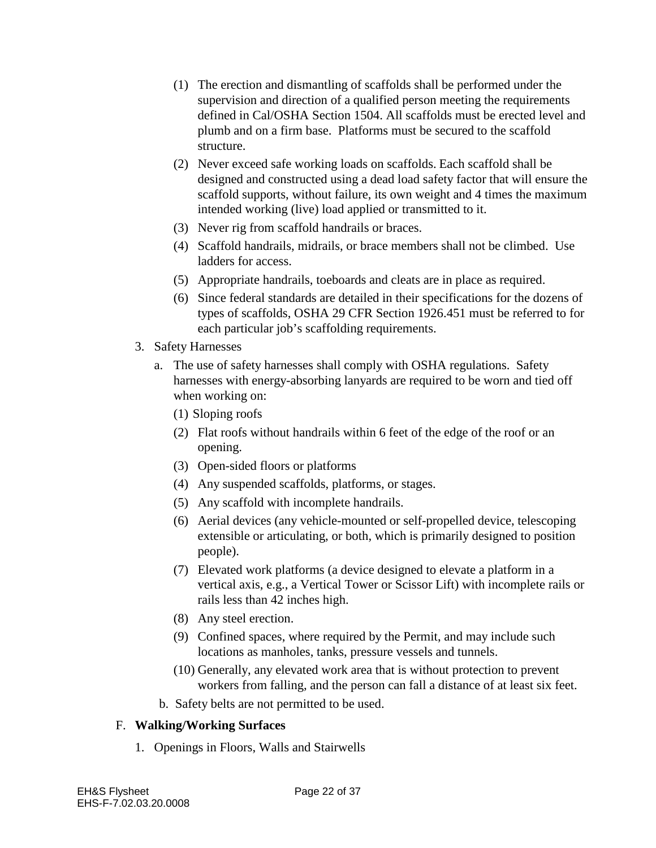- (1) The erection and dismantling of scaffolds shall be performed under the supervision and direction of a qualified person meeting the requirements defined in Cal/OSHA Section 1504. All scaffolds must be erected level and plumb and on a firm base. Platforms must be secured to the scaffold structure.
- (2) Never exceed safe working loads on scaffolds. Each scaffold shall be designed and constructed using a dead load safety factor that will ensure the scaffold supports, without failure, its own weight and 4 times the maximum intended working (live) load applied or transmitted to it.
- (3) Never rig from scaffold handrails or braces.
- (4) Scaffold handrails, midrails, or brace members shall not be climbed. Use ladders for access.
- (5) Appropriate handrails, toeboards and cleats are in place as required.
- (6) Since federal standards are detailed in their specifications for the dozens of types of scaffolds, OSHA 29 CFR Section 1926.451 must be referred to for each particular job's scaffolding requirements.
- 3. Safety Harnesses
	- a. The use of safety harnesses shall comply with OSHA regulations. Safety harnesses with energy-absorbing lanyards are required to be worn and tied off when working on:
		- (1) Sloping roofs
		- (2) Flat roofs without handrails within 6 feet of the edge of the roof or an opening.
		- (3) Open-sided floors or platforms
		- (4) Any suspended scaffolds, platforms, or stages.
		- (5) Any scaffold with incomplete handrails.
		- (6) Aerial devices (any vehicle-mounted or self-propelled device, telescoping extensible or articulating, or both, which is primarily designed to position people).
		- (7) Elevated work platforms (a device designed to elevate a platform in a vertical axis, e.g., a Vertical Tower or Scissor Lift) with incomplete rails or rails less than 42 inches high.
		- (8) Any steel erection.
		- (9) Confined spaces, where required by the Permit, and may include such locations as manholes, tanks, pressure vessels and tunnels.
		- (10) Generally, any elevated work area that is without protection to prevent workers from falling, and the person can fall a distance of at least six feet.
		- b. Safety belts are not permitted to be used.

# F. **Walking/Working Surfaces**

1. Openings in Floors, Walls and Stairwells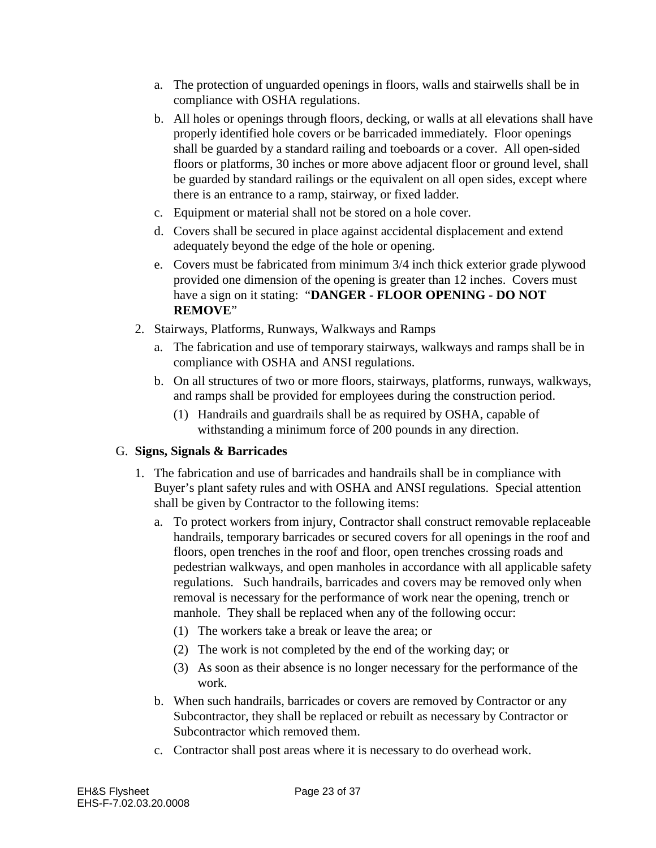- a. The protection of unguarded openings in floors, walls and stairwells shall be in compliance with OSHA regulations.
- b. All holes or openings through floors, decking, or walls at all elevations shall have properly identified hole covers or be barricaded immediately. Floor openings shall be guarded by a standard railing and toeboards or a cover. All open-sided floors or platforms, 30 inches or more above adjacent floor or ground level, shall be guarded by standard railings or the equivalent on all open sides, except where there is an entrance to a ramp, stairway, or fixed ladder.
- c. Equipment or material shall not be stored on a hole cover.
- d. Covers shall be secured in place against accidental displacement and extend adequately beyond the edge of the hole or opening.
- e. Covers must be fabricated from minimum 3/4 inch thick exterior grade plywood provided one dimension of the opening is greater than 12 inches. Covers must have a sign on it stating: "**DANGER - FLOOR OPENING - DO NOT REMOVE**"
- 2. Stairways, Platforms, Runways, Walkways and Ramps
	- a. The fabrication and use of temporary stairways, walkways and ramps shall be in compliance with OSHA and ANSI regulations.
	- b. On all structures of two or more floors, stairways, platforms, runways, walkways, and ramps shall be provided for employees during the construction period.
		- (1) Handrails and guardrails shall be as required by OSHA, capable of withstanding a minimum force of 200 pounds in any direction.

# G. **Signs, Signals & Barricades**

- 1. The fabrication and use of barricades and handrails shall be in compliance with Buyer's plant safety rules and with OSHA and ANSI regulations. Special attention shall be given by Contractor to the following items:
	- a. To protect workers from injury, Contractor shall construct removable replaceable handrails, temporary barricades or secured covers for all openings in the roof and floors, open trenches in the roof and floor, open trenches crossing roads and pedestrian walkways, and open manholes in accordance with all applicable safety regulations. Such handrails, barricades and covers may be removed only when removal is necessary for the performance of work near the opening, trench or manhole. They shall be replaced when any of the following occur:
		- (1) The workers take a break or leave the area; or
		- (2) The work is not completed by the end of the working day; or
		- (3) As soon as their absence is no longer necessary for the performance of the work.
	- b. When such handrails, barricades or covers are removed by Contractor or any Subcontractor, they shall be replaced or rebuilt as necessary by Contractor or Subcontractor which removed them.
	- c. Contractor shall post areas where it is necessary to do overhead work.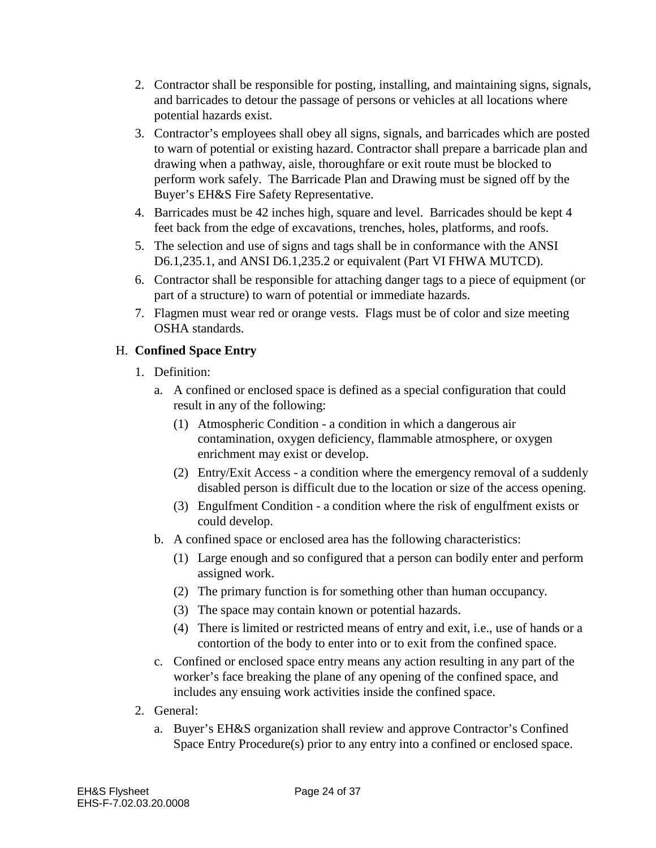- 2. Contractor shall be responsible for posting, installing, and maintaining signs, signals, and barricades to detour the passage of persons or vehicles at all locations where potential hazards exist.
- 3. Contractor's employees shall obey all signs, signals, and barricades which are posted to warn of potential or existing hazard. Contractor shall prepare a barricade plan and drawing when a pathway, aisle, thoroughfare or exit route must be blocked to perform work safely. The Barricade Plan and Drawing must be signed off by the Buyer's EH&S Fire Safety Representative.
- 4. Barricades must be 42 inches high, square and level. Barricades should be kept 4 feet back from the edge of excavations, trenches, holes, platforms, and roofs.
- 5. The selection and use of signs and tags shall be in conformance with the ANSI D6.1,235.1, and ANSI D6.1,235.2 or equivalent (Part VI FHWA MUTCD).
- 6. Contractor shall be responsible for attaching danger tags to a piece of equipment (or part of a structure) to warn of potential or immediate hazards.
- 7. Flagmen must wear red or orange vests. Flags must be of color and size meeting OSHA standards.

# H. **Confined Space Entry**

- 1. Definition:
	- a. A confined or enclosed space is defined as a special configuration that could result in any of the following:
		- (1) Atmospheric Condition a condition in which a dangerous air contamination, oxygen deficiency, flammable atmosphere, or oxygen enrichment may exist or develop.
		- (2) Entry/Exit Access a condition where the emergency removal of a suddenly disabled person is difficult due to the location or size of the access opening.
		- (3) Engulfment Condition a condition where the risk of engulfment exists or could develop.
	- b. A confined space or enclosed area has the following characteristics:
		- (1) Large enough and so configured that a person can bodily enter and perform assigned work.
		- (2) The primary function is for something other than human occupancy.
		- (3) The space may contain known or potential hazards.
		- (4) There is limited or restricted means of entry and exit, i.e., use of hands or a contortion of the body to enter into or to exit from the confined space.
	- c. Confined or enclosed space entry means any action resulting in any part of the worker's face breaking the plane of any opening of the confined space, and includes any ensuing work activities inside the confined space.
- 2. General:
	- a. Buyer's EH&S organization shall review and approve Contractor's Confined Space Entry Procedure(s) prior to any entry into a confined or enclosed space.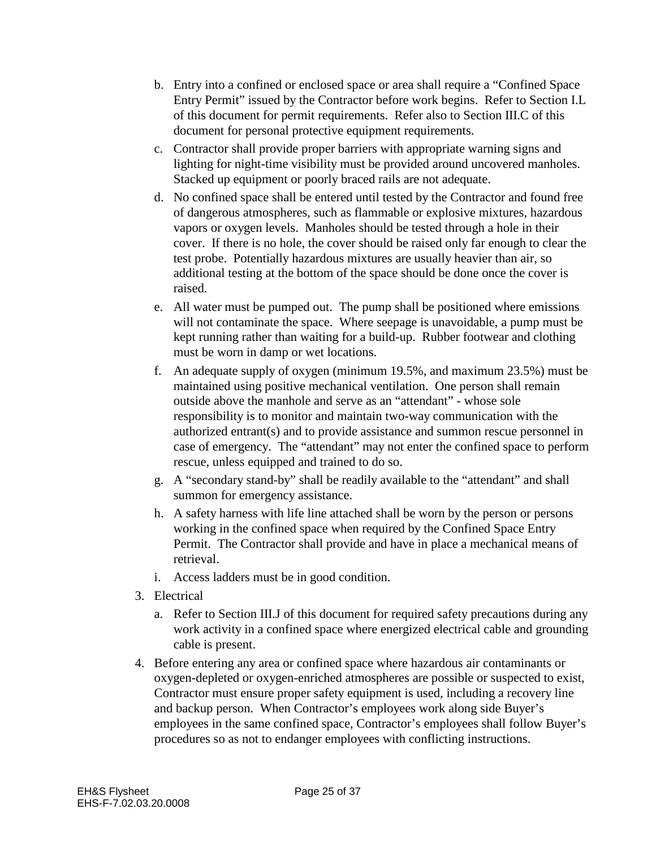- b. Entry into a confined or enclosed space or area shall require a "Confined Space Entry Permit" issued by the Contractor before work begins. Refer to Section I.L of this document for permit requirements. Refer also to Section III.C of this document for personal protective equipment requirements.
- c. Contractor shall provide proper barriers with appropriate warning signs and lighting for night-time visibility must be provided around uncovered manholes. Stacked up equipment or poorly braced rails are not adequate.
- d. No confined space shall be entered until tested by the Contractor and found free of dangerous atmospheres, such as flammable or explosive mixtures, hazardous vapors or oxygen levels. Manholes should be tested through a hole in their cover. If there is no hole, the cover should be raised only far enough to clear the test probe. Potentially hazardous mixtures are usually heavier than air, so additional testing at the bottom of the space should be done once the cover is raised.
- e. All water must be pumped out. The pump shall be positioned where emissions will not contaminate the space. Where seepage is unavoidable, a pump must be kept running rather than waiting for a build-up. Rubber footwear and clothing must be worn in damp or wet locations.
- f. An adequate supply of oxygen (minimum 19.5%, and maximum 23.5%) must be maintained using positive mechanical ventilation. One person shall remain outside above the manhole and serve as an "attendant" - whose sole responsibility is to monitor and maintain two-way communication with the authorized entrant(s) and to provide assistance and summon rescue personnel in case of emergency. The "attendant" may not enter the confined space to perform rescue, unless equipped and trained to do so.
- g. A "secondary stand-by" shall be readily available to the "attendant" and shall summon for emergency assistance.
- h. A safety harness with life line attached shall be worn by the person or persons working in the confined space when required by the Confined Space Entry Permit. The Contractor shall provide and have in place a mechanical means of retrieval.
- i. Access ladders must be in good condition.
- 3. Electrical
	- a. Refer to Section III.J of this document for required safety precautions during any work activity in a confined space where energized electrical cable and grounding cable is present.
- 4. Before entering any area or confined space where hazardous air contaminants or oxygen-depleted or oxygen-enriched atmospheres are possible or suspected to exist, Contractor must ensure proper safety equipment is used, including a recovery line and backup person. When Contractor's employees work along side Buyer's employees in the same confined space, Contractor's employees shall follow Buyer's procedures so as not to endanger employees with conflicting instructions.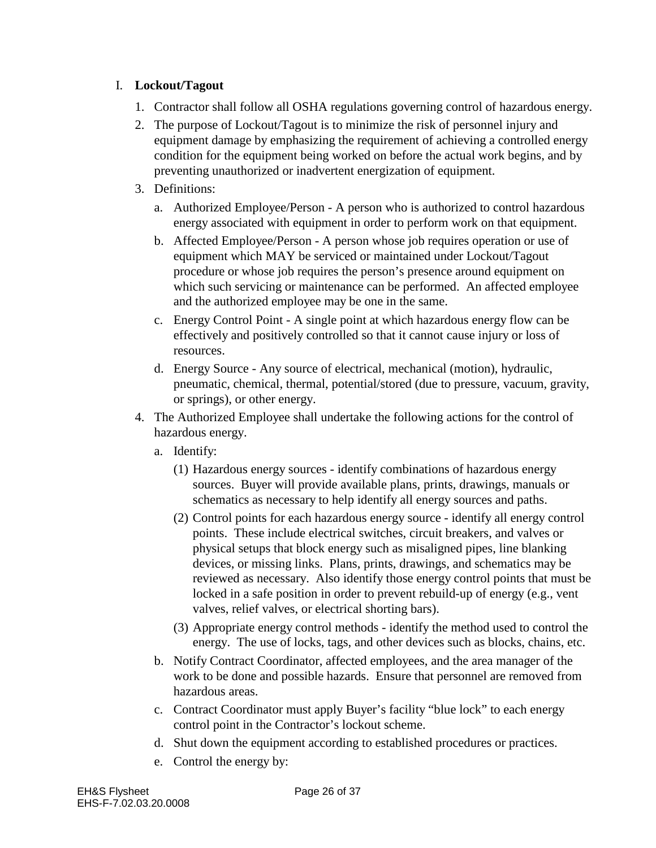#### I. **Lockout/Tagout**

- 1. Contractor shall follow all OSHA regulations governing control of hazardous energy.
- 2. The purpose of Lockout/Tagout is to minimize the risk of personnel injury and equipment damage by emphasizing the requirement of achieving a controlled energy condition for the equipment being worked on before the actual work begins, and by preventing unauthorized or inadvertent energization of equipment.
- 3. Definitions:
	- a. Authorized Employee/Person A person who is authorized to control hazardous energy associated with equipment in order to perform work on that equipment.
	- b. Affected Employee/Person A person whose job requires operation or use of equipment which MAY be serviced or maintained under Lockout/Tagout procedure or whose job requires the person's presence around equipment on which such servicing or maintenance can be performed. An affected employee and the authorized employee may be one in the same.
	- c. Energy Control Point A single point at which hazardous energy flow can be effectively and positively controlled so that it cannot cause injury or loss of resources.
	- d. Energy Source Any source of electrical, mechanical (motion), hydraulic, pneumatic, chemical, thermal, potential/stored (due to pressure, vacuum, gravity, or springs), or other energy.
- 4. The Authorized Employee shall undertake the following actions for the control of hazardous energy.
	- a. Identify:
		- (1) Hazardous energy sources identify combinations of hazardous energy sources. Buyer will provide available plans, prints, drawings, manuals or schematics as necessary to help identify all energy sources and paths.
		- (2) Control points for each hazardous energy source identify all energy control points. These include electrical switches, circuit breakers, and valves or physical setups that block energy such as misaligned pipes, line blanking devices, or missing links. Plans, prints, drawings, and schematics may be reviewed as necessary. Also identify those energy control points that must be locked in a safe position in order to prevent rebuild-up of energy (e.g., vent valves, relief valves, or electrical shorting bars).
		- (3) Appropriate energy control methods identify the method used to control the energy. The use of locks, tags, and other devices such as blocks, chains, etc.
	- b. Notify Contract Coordinator, affected employees, and the area manager of the work to be done and possible hazards. Ensure that personnel are removed from hazardous areas.
	- c. Contract Coordinator must apply Buyer's facility "blue lock" to each energy control point in the Contractor's lockout scheme.
	- d. Shut down the equipment according to established procedures or practices.
	- e. Control the energy by: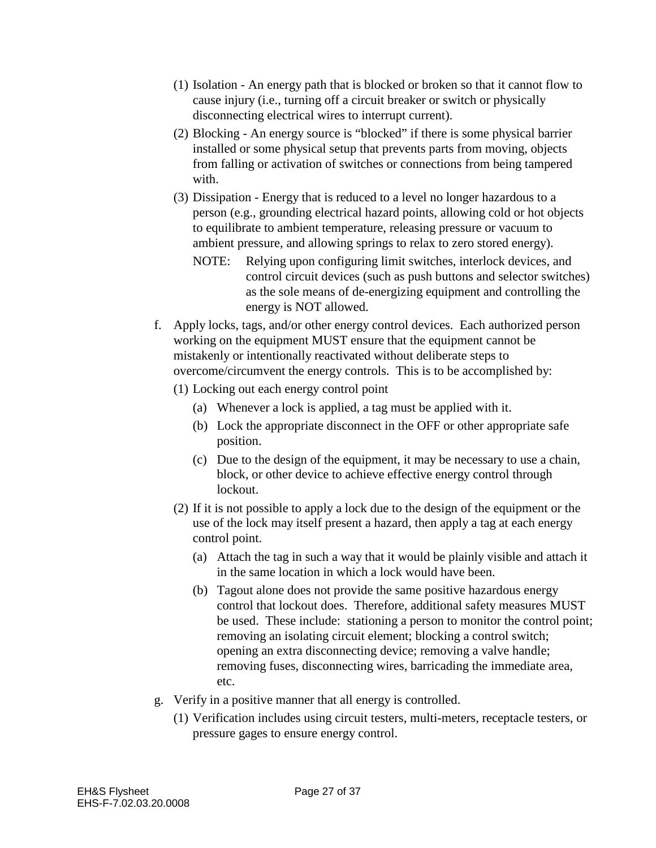- (1) Isolation An energy path that is blocked or broken so that it cannot flow to cause injury (i.e., turning off a circuit breaker or switch or physically disconnecting electrical wires to interrupt current).
- (2) Blocking An energy source is "blocked" if there is some physical barrier installed or some physical setup that prevents parts from moving, objects from falling or activation of switches or connections from being tampered with.
- (3) Dissipation Energy that is reduced to a level no longer hazardous to a person (e.g., grounding electrical hazard points, allowing cold or hot objects to equilibrate to ambient temperature, releasing pressure or vacuum to ambient pressure, and allowing springs to relax to zero stored energy).
	- NOTE: Relying upon configuring limit switches, interlock devices, and control circuit devices (such as push buttons and selector switches) as the sole means of de-energizing equipment and controlling the energy is NOT allowed.
- f. Apply locks, tags, and/or other energy control devices. Each authorized person working on the equipment MUST ensure that the equipment cannot be mistakenly or intentionally reactivated without deliberate steps to overcome/circumvent the energy controls. This is to be accomplished by:
	- (1) Locking out each energy control point
		- (a) Whenever a lock is applied, a tag must be applied with it.
		- (b) Lock the appropriate disconnect in the OFF or other appropriate safe position.
		- (c) Due to the design of the equipment, it may be necessary to use a chain, block, or other device to achieve effective energy control through lockout.
	- (2) If it is not possible to apply a lock due to the design of the equipment or the use of the lock may itself present a hazard, then apply a tag at each energy control point.
		- (a) Attach the tag in such a way that it would be plainly visible and attach it in the same location in which a lock would have been.
		- (b) Tagout alone does not provide the same positive hazardous energy control that lockout does. Therefore, additional safety measures MUST be used. These include: stationing a person to monitor the control point; removing an isolating circuit element; blocking a control switch; opening an extra disconnecting device; removing a valve handle; removing fuses, disconnecting wires, barricading the immediate area, etc.
- g. Verify in a positive manner that all energy is controlled.
	- (1) Verification includes using circuit testers, multi-meters, receptacle testers, or pressure gages to ensure energy control.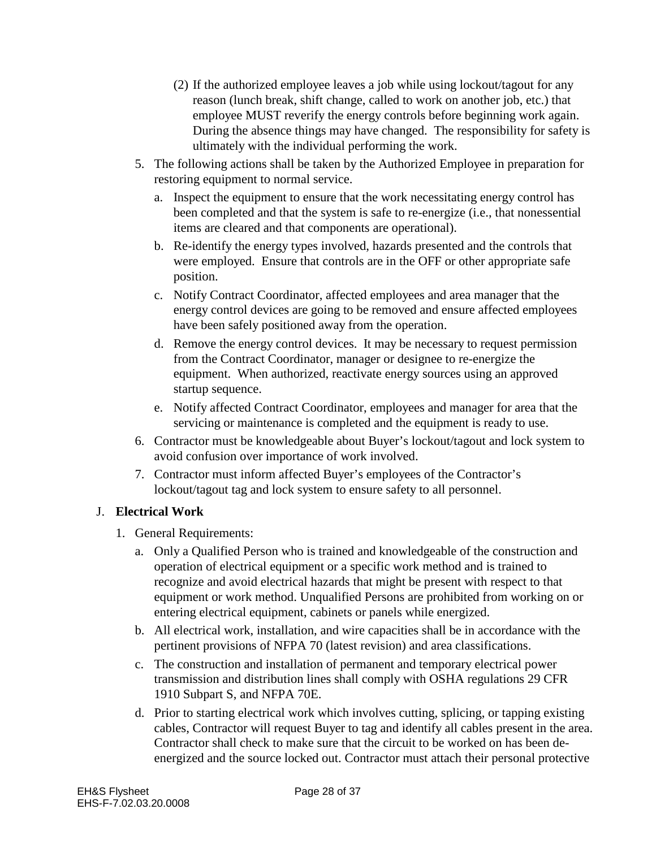- (2) If the authorized employee leaves a job while using lockout/tagout for any reason (lunch break, shift change, called to work on another job, etc.) that employee MUST reverify the energy controls before beginning work again. During the absence things may have changed. The responsibility for safety is ultimately with the individual performing the work.
- 5. The following actions shall be taken by the Authorized Employee in preparation for restoring equipment to normal service.
	- a. Inspect the equipment to ensure that the work necessitating energy control has been completed and that the system is safe to re-energize (i.e., that nonessential items are cleared and that components are operational).
	- b. Re-identify the energy types involved, hazards presented and the controls that were employed. Ensure that controls are in the OFF or other appropriate safe position.
	- c. Notify Contract Coordinator, affected employees and area manager that the energy control devices are going to be removed and ensure affected employees have been safely positioned away from the operation.
	- d. Remove the energy control devices. It may be necessary to request permission from the Contract Coordinator, manager or designee to re-energize the equipment. When authorized, reactivate energy sources using an approved startup sequence.
	- e. Notify affected Contract Coordinator, employees and manager for area that the servicing or maintenance is completed and the equipment is ready to use.
- 6. Contractor must be knowledgeable about Buyer's lockout/tagout and lock system to avoid confusion over importance of work involved.
- 7. Contractor must inform affected Buyer's employees of the Contractor's lockout/tagout tag and lock system to ensure safety to all personnel.

# J. **Electrical Work**

- 1. General Requirements:
	- a. Only a Qualified Person who is trained and knowledgeable of the construction and operation of electrical equipment or a specific work method and is trained to recognize and avoid electrical hazards that might be present with respect to that equipment or work method. Unqualified Persons are prohibited from working on or entering electrical equipment, cabinets or panels while energized.
	- b. All electrical work, installation, and wire capacities shall be in accordance with the pertinent provisions of NFPA 70 (latest revision) and area classifications.
	- c. The construction and installation of permanent and temporary electrical power transmission and distribution lines shall comply with OSHA regulations 29 CFR 1910 Subpart S, and NFPA 70E.
	- d. Prior to starting electrical work which involves cutting, splicing, or tapping existing cables, Contractor will request Buyer to tag and identify all cables present in the area. Contractor shall check to make sure that the circuit to be worked on has been deenergized and the source locked out. Contractor must attach their personal protective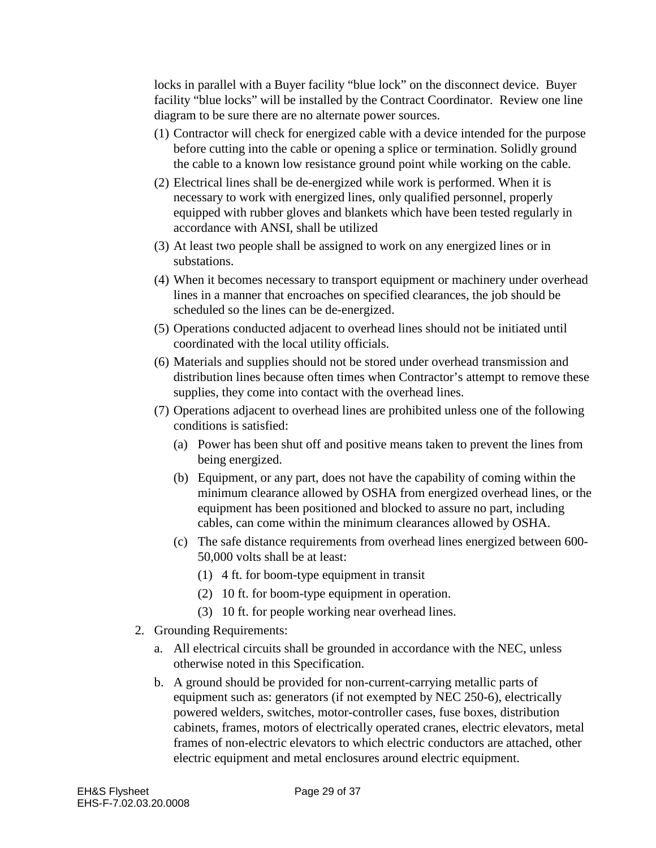locks in parallel with a Buyer facility "blue lock" on the disconnect device. Buyer facility "blue locks" will be installed by the Contract Coordinator. Review one line diagram to be sure there are no alternate power sources.

- (1) Contractor will check for energized cable with a device intended for the purpose before cutting into the cable or opening a splice or termination. Solidly ground the cable to a known low resistance ground point while working on the cable.
- (2) Electrical lines shall be de-energized while work is performed. When it is necessary to work with energized lines, only qualified personnel, properly equipped with rubber gloves and blankets which have been tested regularly in accordance with ANSI, shall be utilized
- (3) At least two people shall be assigned to work on any energized lines or in substations.
- (4) When it becomes necessary to transport equipment or machinery under overhead lines in a manner that encroaches on specified clearances, the job should be scheduled so the lines can be de-energized.
- (5) Operations conducted adjacent to overhead lines should not be initiated until coordinated with the local utility officials.
- (6) Materials and supplies should not be stored under overhead transmission and distribution lines because often times when Contractor's attempt to remove these supplies, they come into contact with the overhead lines.
- (7) Operations adjacent to overhead lines are prohibited unless one of the following conditions is satisfied:
	- (a) Power has been shut off and positive means taken to prevent the lines from being energized.
	- (b) Equipment, or any part, does not have the capability of coming within the minimum clearance allowed by OSHA from energized overhead lines, or the equipment has been positioned and blocked to assure no part, including cables, can come within the minimum clearances allowed by OSHA.
	- (c) The safe distance requirements from overhead lines energized between 600- 50,000 volts shall be at least:
		- (1) 4 ft. for boom-type equipment in transit
		- (2) 10 ft. for boom-type equipment in operation.
		- (3) 10 ft. for people working near overhead lines.
- 2. Grounding Requirements:
	- a. All electrical circuits shall be grounded in accordance with the NEC, unless otherwise noted in this Specification.
	- b. A ground should be provided for non-current-carrying metallic parts of equipment such as: generators (if not exempted by NEC 250-6), electrically powered welders, switches, motor-controller cases, fuse boxes, distribution cabinets, frames, motors of electrically operated cranes, electric elevators, metal frames of non-electric elevators to which electric conductors are attached, other electric equipment and metal enclosures around electric equipment.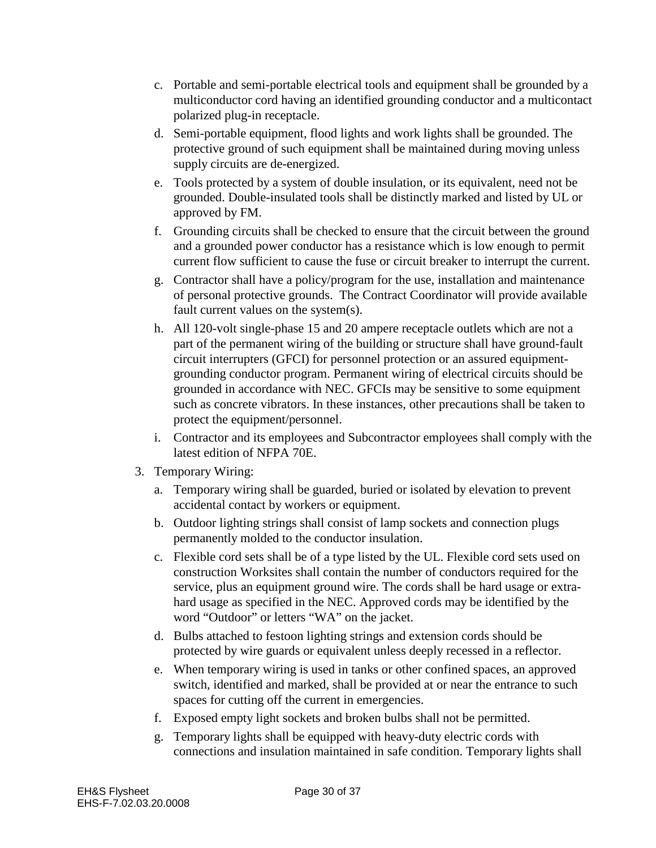- c. Portable and semi-portable electrical tools and equipment shall be grounded by a multiconductor cord having an identified grounding conductor and a multicontact polarized plug-in receptacle.
- d. Semi-portable equipment, flood lights and work lights shall be grounded. The protective ground of such equipment shall be maintained during moving unless supply circuits are de-energized.
- e. Tools protected by a system of double insulation, or its equivalent, need not be grounded. Double-insulated tools shall be distinctly marked and listed by UL or approved by FM.
- f. Grounding circuits shall be checked to ensure that the circuit between the ground and a grounded power conductor has a resistance which is low enough to permit current flow sufficient to cause the fuse or circuit breaker to interrupt the current.
- g. Contractor shall have a policy/program for the use, installation and maintenance of personal protective grounds. The Contract Coordinator will provide available fault current values on the system(s).
- h. All 120-volt single-phase 15 and 20 ampere receptacle outlets which are not a part of the permanent wiring of the building or structure shall have ground-fault circuit interrupters (GFCI) for personnel protection or an assured equipmentgrounding conductor program. Permanent wiring of electrical circuits should be grounded in accordance with NEC. GFCIs may be sensitive to some equipment such as concrete vibrators. In these instances, other precautions shall be taken to protect the equipment/personnel.
- i. Contractor and its employees and Subcontractor employees shall comply with the latest edition of NFPA 70E.
- 3. Temporary Wiring:
	- a. Temporary wiring shall be guarded, buried or isolated by elevation to prevent accidental contact by workers or equipment.
	- b. Outdoor lighting strings shall consist of lamp sockets and connection plugs permanently molded to the conductor insulation.
	- c. Flexible cord sets shall be of a type listed by the UL. Flexible cord sets used on construction Worksites shall contain the number of conductors required for the service, plus an equipment ground wire. The cords shall be hard usage or extrahard usage as specified in the NEC. Approved cords may be identified by the word "Outdoor" or letters "WA" on the jacket.
	- d. Bulbs attached to festoon lighting strings and extension cords should be protected by wire guards or equivalent unless deeply recessed in a reflector.
	- e. When temporary wiring is used in tanks or other confined spaces, an approved switch, identified and marked, shall be provided at or near the entrance to such spaces for cutting off the current in emergencies.
	- f. Exposed empty light sockets and broken bulbs shall not be permitted.
	- g. Temporary lights shall be equipped with heavy-duty electric cords with connections and insulation maintained in safe condition. Temporary lights shall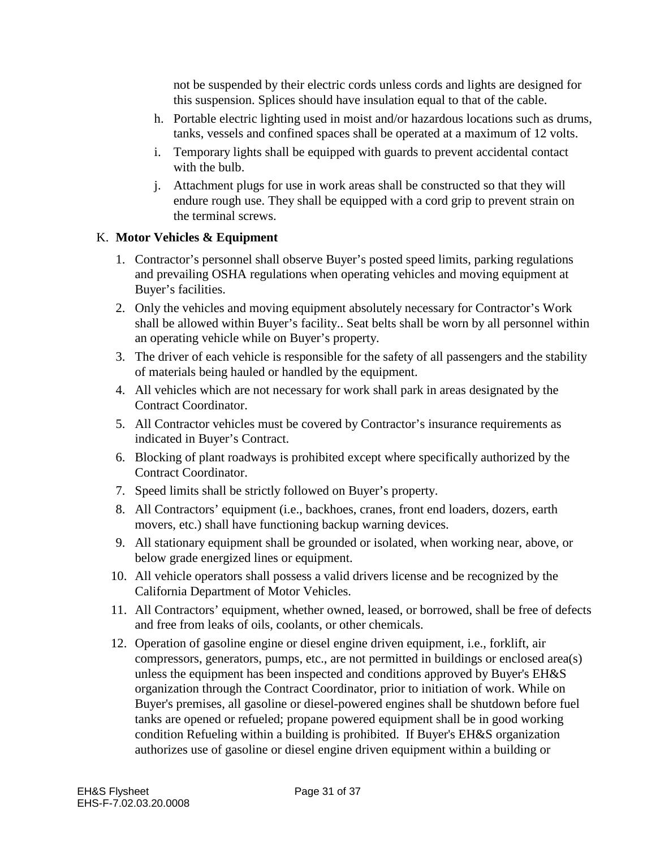not be suspended by their electric cords unless cords and lights are designed for this suspension. Splices should have insulation equal to that of the cable.

- h. Portable electric lighting used in moist and/or hazardous locations such as drums, tanks, vessels and confined spaces shall be operated at a maximum of 12 volts.
- i. Temporary lights shall be equipped with guards to prevent accidental contact with the bulb.
- j. Attachment plugs for use in work areas shall be constructed so that they will endure rough use. They shall be equipped with a cord grip to prevent strain on the terminal screws.

#### K. **Motor Vehicles & Equipment**

- 1. Contractor's personnel shall observe Buyer's posted speed limits, parking regulations and prevailing OSHA regulations when operating vehicles and moving equipment at Buyer's facilities.
- 2. Only the vehicles and moving equipment absolutely necessary for Contractor's Work shall be allowed within Buyer's facility.. Seat belts shall be worn by all personnel within an operating vehicle while on Buyer's property.
- 3. The driver of each vehicle is responsible for the safety of all passengers and the stability of materials being hauled or handled by the equipment.
- 4. All vehicles which are not necessary for work shall park in areas designated by the Contract Coordinator.
- 5. All Contractor vehicles must be covered by Contractor's insurance requirements as indicated in Buyer's Contract.
- 6. Blocking of plant roadways is prohibited except where specifically authorized by the Contract Coordinator.
- 7. Speed limits shall be strictly followed on Buyer's property.
- 8. All Contractors' equipment (i.e., backhoes, cranes, front end loaders, dozers, earth movers, etc.) shall have functioning backup warning devices.
- 9. All stationary equipment shall be grounded or isolated, when working near, above, or below grade energized lines or equipment.
- 10. All vehicle operators shall possess a valid drivers license and be recognized by the California Department of Motor Vehicles.
- 11. All Contractors' equipment, whether owned, leased, or borrowed, shall be free of defects and free from leaks of oils, coolants, or other chemicals.
- 12. Operation of gasoline engine or diesel engine driven equipment, i.e., forklift, air compressors, generators, pumps, etc., are not permitted in buildings or enclosed area(s) unless the equipment has been inspected and conditions approved by Buyer's EH&S organization through the Contract Coordinator, prior to initiation of work. While on Buyer's premises, all gasoline or diesel-powered engines shall be shutdown before fuel tanks are opened or refueled; propane powered equipment shall be in good working condition Refueling within a building is prohibited. If Buyer's EH&S organization authorizes use of gasoline or diesel engine driven equipment within a building or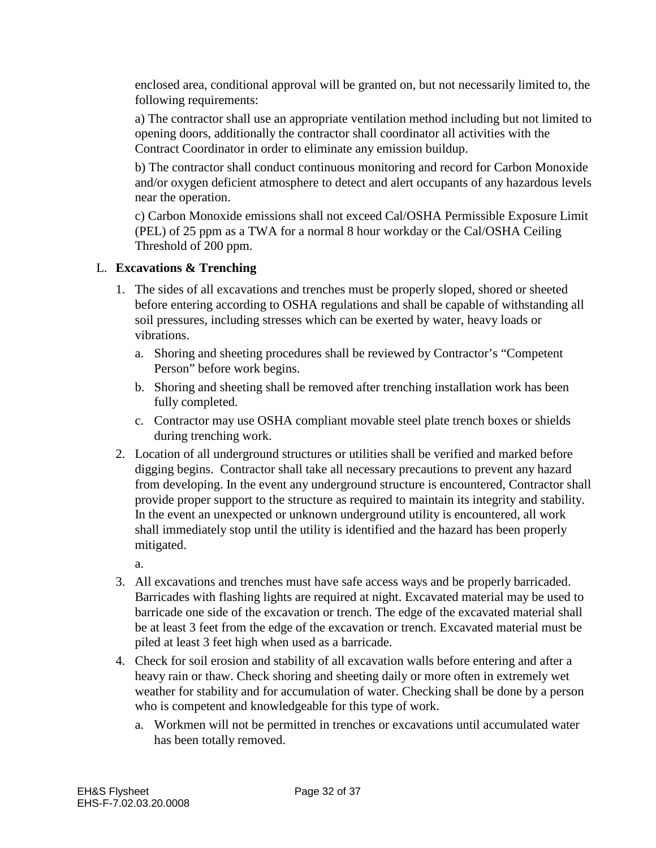enclosed area, conditional approval will be granted on, but not necessarily limited to, the following requirements:

a) The contractor shall use an appropriate ventilation method including but not limited to opening doors, additionally the contractor shall coordinator all activities with the Contract Coordinator in order to eliminate any emission buildup.

b) The contractor shall conduct continuous monitoring and record for Carbon Monoxide and/or oxygen deficient atmosphere to detect and alert occupants of any hazardous levels near the operation.

c) Carbon Monoxide emissions shall not exceed Cal/OSHA Permissible Exposure Limit (PEL) of 25 ppm as a TWA for a normal 8 hour workday or the Cal/OSHA Ceiling Threshold of 200 ppm.

# L. **Excavations & Trenching**

- 1. The sides of all excavations and trenches must be properly sloped, shored or sheeted before entering according to OSHA regulations and shall be capable of withstanding all soil pressures, including stresses which can be exerted by water, heavy loads or vibrations.
	- a. Shoring and sheeting procedures shall be reviewed by Contractor's "Competent Person" before work begins.
	- b. Shoring and sheeting shall be removed after trenching installation work has been fully completed.
	- c. Contractor may use OSHA compliant movable steel plate trench boxes or shields during trenching work.
- 2. Location of all underground structures or utilities shall be verified and marked before digging begins. Contractor shall take all necessary precautions to prevent any hazard from developing. In the event any underground structure is encountered, Contractor shall provide proper support to the structure as required to maintain its integrity and stability. In the event an unexpected or unknown underground utility is encountered, all work shall immediately stop until the utility is identified and the hazard has been properly mitigated.

a.

- 3. All excavations and trenches must have safe access ways and be properly barricaded. Barricades with flashing lights are required at night. Excavated material may be used to barricade one side of the excavation or trench. The edge of the excavated material shall be at least 3 feet from the edge of the excavation or trench. Excavated material must be piled at least 3 feet high when used as a barricade.
- 4. Check for soil erosion and stability of all excavation walls before entering and after a heavy rain or thaw. Check shoring and sheeting daily or more often in extremely wet weather for stability and for accumulation of water. Checking shall be done by a person who is competent and knowledgeable for this type of work.
	- a. Workmen will not be permitted in trenches or excavations until accumulated water has been totally removed.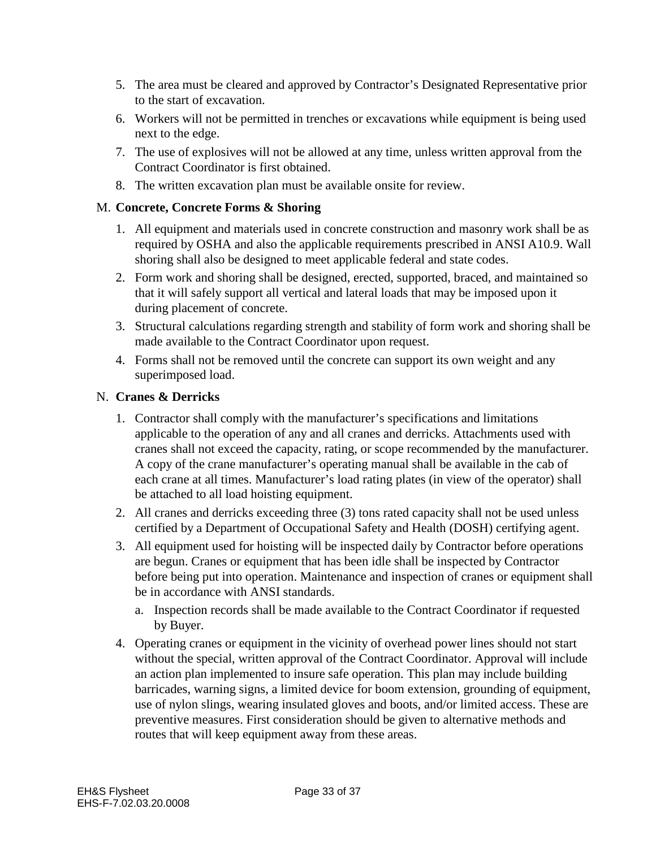- 5. The area must be cleared and approved by Contractor's Designated Representative prior to the start of excavation.
- 6. Workers will not be permitted in trenches or excavations while equipment is being used next to the edge.
- 7. The use of explosives will not be allowed at any time, unless written approval from the Contract Coordinator is first obtained.
- 8. The written excavation plan must be available onsite for review.

#### M. **Concrete, Concrete Forms & Shoring**

- 1. All equipment and materials used in concrete construction and masonry work shall be as required by OSHA and also the applicable requirements prescribed in ANSI A10.9. Wall shoring shall also be designed to meet applicable federal and state codes.
- 2. Form work and shoring shall be designed, erected, supported, braced, and maintained so that it will safely support all vertical and lateral loads that may be imposed upon it during placement of concrete.
- 3. Structural calculations regarding strength and stability of form work and shoring shall be made available to the Contract Coordinator upon request.
- 4. Forms shall not be removed until the concrete can support its own weight and any superimposed load.

#### N. **Cranes & Derricks**

- 1. Contractor shall comply with the manufacturer's specifications and limitations applicable to the operation of any and all cranes and derricks. Attachments used with cranes shall not exceed the capacity, rating, or scope recommended by the manufacturer. A copy of the crane manufacturer's operating manual shall be available in the cab of each crane at all times. Manufacturer's load rating plates (in view of the operator) shall be attached to all load hoisting equipment.
- 2. All cranes and derricks exceeding three (3) tons rated capacity shall not be used unless certified by a Department of Occupational Safety and Health (DOSH) certifying agent.
- 3. All equipment used for hoisting will be inspected daily by Contractor before operations are begun. Cranes or equipment that has been idle shall be inspected by Contractor before being put into operation. Maintenance and inspection of cranes or equipment shall be in accordance with ANSI standards.
	- a. Inspection records shall be made available to the Contract Coordinator if requested by Buyer.
- 4. Operating cranes or equipment in the vicinity of overhead power lines should not start without the special, written approval of the Contract Coordinator. Approval will include an action plan implemented to insure safe operation. This plan may include building barricades, warning signs, a limited device for boom extension, grounding of equipment, use of nylon slings, wearing insulated gloves and boots, and/or limited access. These are preventive measures. First consideration should be given to alternative methods and routes that will keep equipment away from these areas.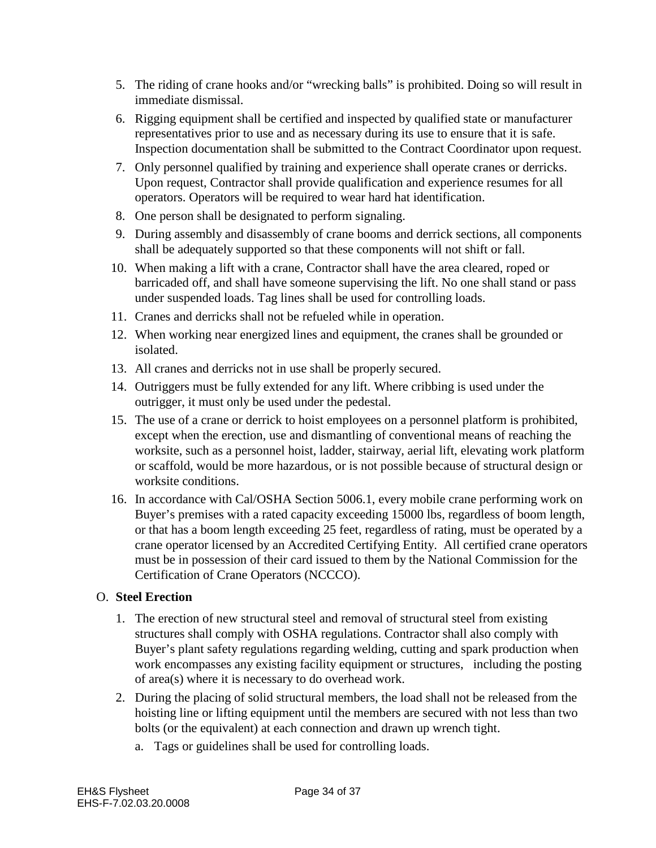- 5. The riding of crane hooks and/or "wrecking balls" is prohibited. Doing so will result in immediate dismissal.
- 6. Rigging equipment shall be certified and inspected by qualified state or manufacturer representatives prior to use and as necessary during its use to ensure that it is safe. Inspection documentation shall be submitted to the Contract Coordinator upon request.
- 7. Only personnel qualified by training and experience shall operate cranes or derricks. Upon request, Contractor shall provide qualification and experience resumes for all operators. Operators will be required to wear hard hat identification.
- 8. One person shall be designated to perform signaling.
- 9. During assembly and disassembly of crane booms and derrick sections, all components shall be adequately supported so that these components will not shift or fall.
- 10. When making a lift with a crane, Contractor shall have the area cleared, roped or barricaded off, and shall have someone supervising the lift. No one shall stand or pass under suspended loads. Tag lines shall be used for controlling loads.
- 11. Cranes and derricks shall not be refueled while in operation.
- 12. When working near energized lines and equipment, the cranes shall be grounded or isolated.
- 13. All cranes and derricks not in use shall be properly secured.
- 14. Outriggers must be fully extended for any lift. Where cribbing is used under the outrigger, it must only be used under the pedestal.
- 15. The use of a crane or derrick to hoist employees on a personnel platform is prohibited, except when the erection, use and dismantling of conventional means of reaching the worksite, such as a personnel hoist, ladder, stairway, aerial lift, elevating work platform or scaffold, would be more hazardous, or is not possible because of structural design or worksite conditions.
- 16. In accordance with Cal/OSHA Section 5006.1, every mobile crane performing work on Buyer's premises with a rated capacity exceeding 15000 lbs, regardless of boom length, or that has a boom length exceeding 25 feet, regardless of rating, must be operated by a crane operator licensed by an Accredited Certifying Entity. All certified crane operators must be in possession of their card issued to them by the National Commission for the Certification of Crane Operators (NCCCO).

# O. **Steel Erection**

- 1. The erection of new structural steel and removal of structural steel from existing structures shall comply with OSHA regulations. Contractor shall also comply with Buyer's plant safety regulations regarding welding, cutting and spark production when work encompasses any existing facility equipment or structures, including the posting of area(s) where it is necessary to do overhead work.
- 2. During the placing of solid structural members, the load shall not be released from the hoisting line or lifting equipment until the members are secured with not less than two bolts (or the equivalent) at each connection and drawn up wrench tight.
	- a. Tags or guidelines shall be used for controlling loads.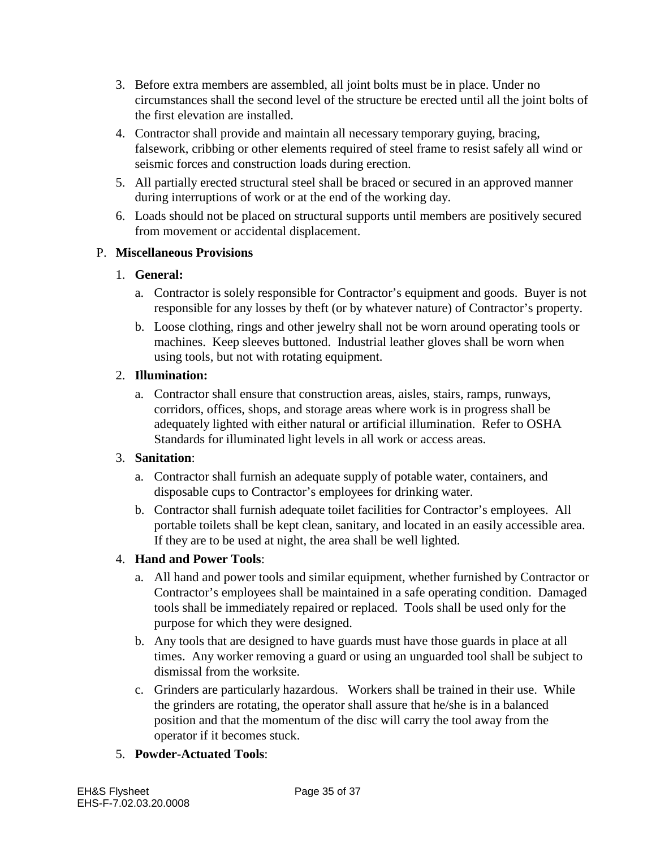- 3. Before extra members are assembled, all joint bolts must be in place. Under no circumstances shall the second level of the structure be erected until all the joint bolts of the first elevation are installed.
- 4. Contractor shall provide and maintain all necessary temporary guying, bracing, falsework, cribbing or other elements required of steel frame to resist safely all wind or seismic forces and construction loads during erection.
- 5. All partially erected structural steel shall be braced or secured in an approved manner during interruptions of work or at the end of the working day.
- 6. Loads should not be placed on structural supports until members are positively secured from movement or accidental displacement.

#### P. **Miscellaneous Provisions**

#### 1. **General:**

- a. Contractor is solely responsible for Contractor's equipment and goods. Buyer is not responsible for any losses by theft (or by whatever nature) of Contractor's property.
- b. Loose clothing, rings and other jewelry shall not be worn around operating tools or machines. Keep sleeves buttoned. Industrial leather gloves shall be worn when using tools, but not with rotating equipment.

#### 2. **Illumination:**

a. Contractor shall ensure that construction areas, aisles, stairs, ramps, runways, corridors, offices, shops, and storage areas where work is in progress shall be adequately lighted with either natural or artificial illumination. Refer to OSHA Standards for illuminated light levels in all work or access areas.

#### 3. **Sanitation**:

- a. Contractor shall furnish an adequate supply of potable water, containers, and disposable cups to Contractor's employees for drinking water.
- b. Contractor shall furnish adequate toilet facilities for Contractor's employees. All portable toilets shall be kept clean, sanitary, and located in an easily accessible area. If they are to be used at night, the area shall be well lighted.

# 4. **Hand and Power Tools**:

- a. All hand and power tools and similar equipment, whether furnished by Contractor or Contractor's employees shall be maintained in a safe operating condition. Damaged tools shall be immediately repaired or replaced. Tools shall be used only for the purpose for which they were designed.
- b. Any tools that are designed to have guards must have those guards in place at all times. Any worker removing a guard or using an unguarded tool shall be subject to dismissal from the worksite.
- c. Grinders are particularly hazardous. Workers shall be trained in their use. While the grinders are rotating, the operator shall assure that he/she is in a balanced position and that the momentum of the disc will carry the tool away from the operator if it becomes stuck.
- 5. **Powder-Actuated Tools**: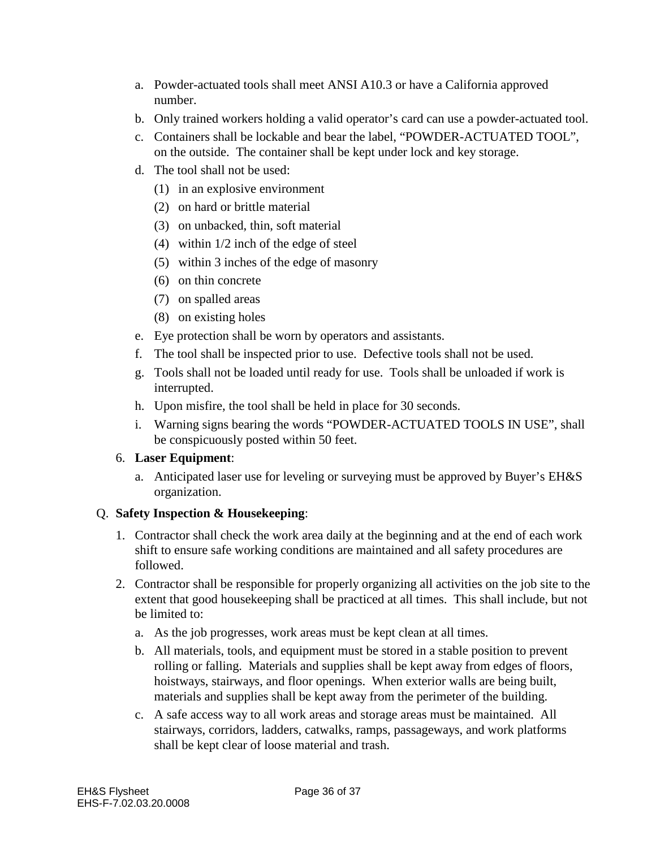- a. Powder-actuated tools shall meet ANSI A10.3 or have a California approved number.
- b. Only trained workers holding a valid operator's card can use a powder-actuated tool.
- c. Containers shall be lockable and bear the label, "POWDER-ACTUATED TOOL", on the outside. The container shall be kept under lock and key storage.
- d. The tool shall not be used:
	- (1) in an explosive environment
	- (2) on hard or brittle material
	- (3) on unbacked, thin, soft material
	- (4) within 1/2 inch of the edge of steel
	- (5) within 3 inches of the edge of masonry
	- (6) on thin concrete
	- (7) on spalled areas
	- (8) on existing holes
- e. Eye protection shall be worn by operators and assistants.
- f. The tool shall be inspected prior to use. Defective tools shall not be used.
- g. Tools shall not be loaded until ready for use. Tools shall be unloaded if work is interrupted.
- h. Upon misfire, the tool shall be held in place for 30 seconds.
- i. Warning signs bearing the words "POWDER-ACTUATED TOOLS IN USE", shall be conspicuously posted within 50 feet.

#### 6. **Laser Equipment**:

a. Anticipated laser use for leveling or surveying must be approved by Buyer's EH&S organization.

#### Q. **Safety Inspection & Housekeeping**:

- 1. Contractor shall check the work area daily at the beginning and at the end of each work shift to ensure safe working conditions are maintained and all safety procedures are followed.
- 2. Contractor shall be responsible for properly organizing all activities on the job site to the extent that good housekeeping shall be practiced at all times. This shall include, but not be limited to:
	- a. As the job progresses, work areas must be kept clean at all times.
	- b. All materials, tools, and equipment must be stored in a stable position to prevent rolling or falling. Materials and supplies shall be kept away from edges of floors, hoistways, stairways, and floor openings. When exterior walls are being built, materials and supplies shall be kept away from the perimeter of the building.
	- c. A safe access way to all work areas and storage areas must be maintained. All stairways, corridors, ladders, catwalks, ramps, passageways, and work platforms shall be kept clear of loose material and trash.